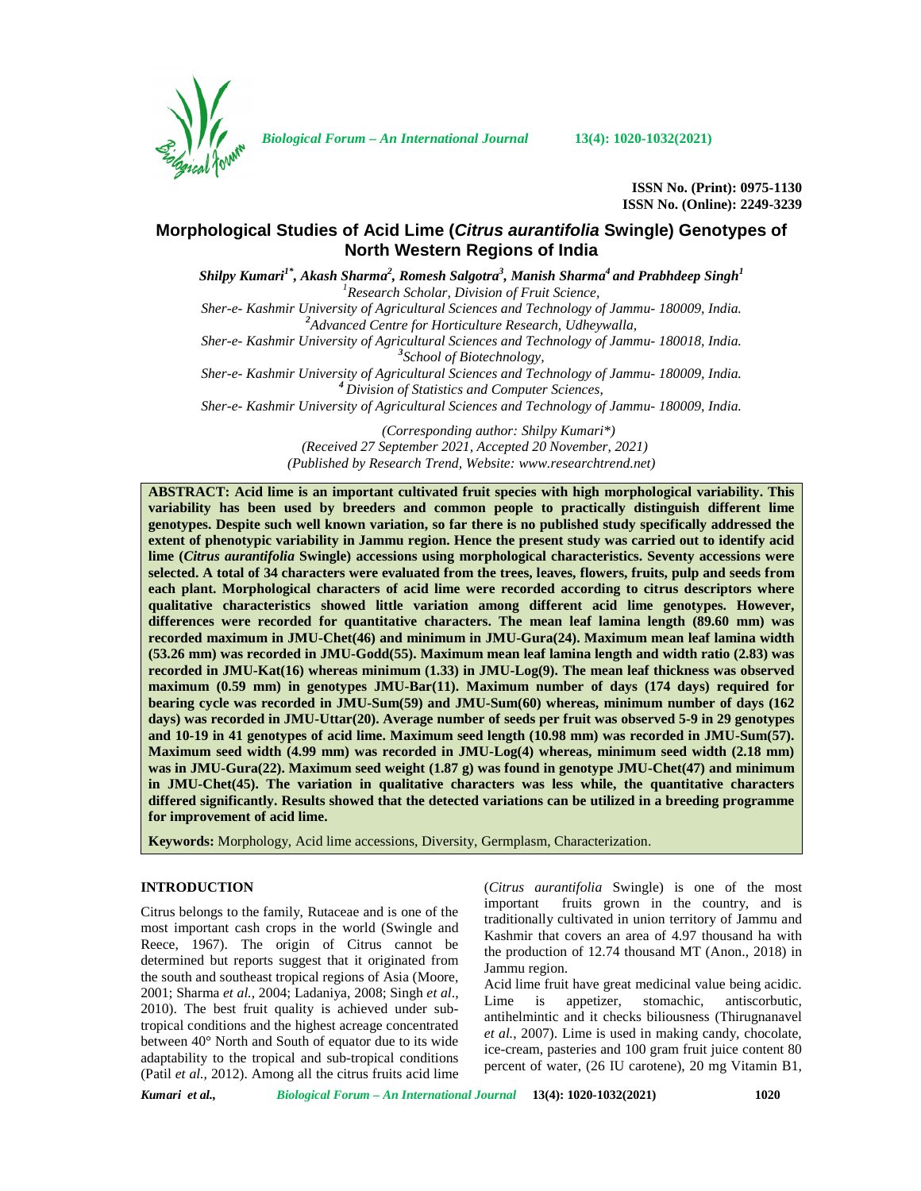

*Biological Forum – An International Journal* **13(4): 1020-1032(2021)**

**ISSN No. (Print): 0975-1130 ISSN No. (Online): 2249-3239**

# **Morphological Studies of Acid Lime (***Citrus aurantifolia* **Swingle) Genotypes of North Western Regions of India**

*Shilpy Kumari1\* , Akash Sharma<sup>2</sup> , Romesh Salgotra<sup>3</sup> , Manish Sharma<sup>4</sup> and Prabhdeep Singh<sup>1</sup> <sup>1</sup>Research Scholar, Division of Fruit Science, Sher-e- Kashmir University of Agricultural Sciences and Technology of Jammu- 180009, India. <sup>2</sup>Advanced Centre for Horticulture Research, Udheywalla, Sher-e- Kashmir University of Agricultural Sciences and Technology of Jammu- 180018, India. <sup>3</sup>School of Biotechnology, Sher-e- Kashmir University of Agricultural Sciences and Technology of Jammu- 180009, India. <sup>4</sup> Division of Statistics and Computer Sciences,*

*Sher-e- Kashmir University of Agricultural Sciences and Technology of Jammu- 180009, India.*

*(Corresponding author: Shilpy Kumari\*) (Received 27 September 2021, Accepted 20 November, 2021) (Published by Research Trend, Website: [www.researchtrend.net\)](www.researchtrend.net)*

**ABSTRACT: Acid lime is an important cultivated fruit species with high morphological variability. This variability has been used by breeders and common people to practically distinguish different lime genotypes. Despite such well known variation, so far there is no published study specifically addressed the extent of phenotypic variability in Jammu region. Hence the present study was carried out to identify acid lime (***Citrus aurantifolia* **Swingle) accessions using morphological characteristics. Seventy accessions were selected. A total of 34 characters were evaluated from the trees, leaves, flowers, fruits, pulp and seeds from each plant. Morphological characters of acid lime were recorded according to citrus descriptors where qualitative characteristics showed little variation among different acid lime genotypes. However, differences were recorded for quantitative characters. The mean leaf lamina length (89.60 mm) was recorded maximum in JMU-Chet(46) and minimum in JMU-Gura(24). Maximum mean leaf lamina width (53.26 mm) was recorded in JMU-Godd(55). Maximum mean leaf lamina length and width ratio (2.83) was recorded in JMU-Kat(16) whereas minimum (1.33) in JMU-Log(9). The mean leaf thickness was observed maximum (0.59 mm) in genotypes JMU-Bar(11). Maximum number of days (174 days) required for bearing cycle was recorded in JMU-Sum(59) and JMU-Sum(60) whereas, minimum number of days (162 days) was recorded in JMU-Uttar(20). Average number of seeds per fruit was observed 5-9 in 29 genotypes and 10-19 in 41 genotypes of acid lime. Maximum seed length (10.98 mm) was recorded in JMU-Sum(57). Maximum seed width (4.99 mm) was recorded in JMU-Log(4) whereas, minimum seed width (2.18 mm) was in JMU-Gura(22). Maximum seed weight (1.87 g) was found in genotype JMU-Chet(47) and minimum in JMU-Chet(45). The variation in qualitative characters was less while, the quantitative characters differed significantly. Results showed that the detected variations can be utilized in a breeding programme for improvement of acid lime.**

**Keywords:** Morphology, Acid lime accessions, Diversity, Germplasm, Characterization.

## **INTRODUCTION**

Citrus belongs to the family, Rutaceae and is one of the most important cash crops in the world (Swingle and Reece, 1967). The origin of Citrus cannot be determined but reports suggest that it originated from the south and southeast tropical regions of Asia (Moore, 2001; Sharma *et al.,* 2004; Ladaniya, 2008; Singh *et al*., 2010). The best fruit quality is achieved under subtropical conditions and the highest acreage concentrated between 40° North and South of equator due to its wide adaptability to the tropical and sub-tropical conditions (Patil *et al.,* 2012). Among all the citrus fruits acid lime

(*Citrus aurantifolia* Swingle) is one of the most important fruits grown in the country, and is traditionally cultivated in union territory of Jammu and Kashmir that covers an area of 4.97 thousand ha with the production of 12.74 thousand MT (Anon., 2018) in Jammu region.

Acid lime fruit have great medicinal value being acidic. is appetizer, stomachic, antiscorbutic, antihelmintic and it checks biliousness (Thirugnanavel *et al.*, 2007). Lime is used in making candy, chocolate, ice-cream, pasteries and 100 gram fruit juice content 80 percent of water, (26 IU carotene), 20 mg Vitamin B1,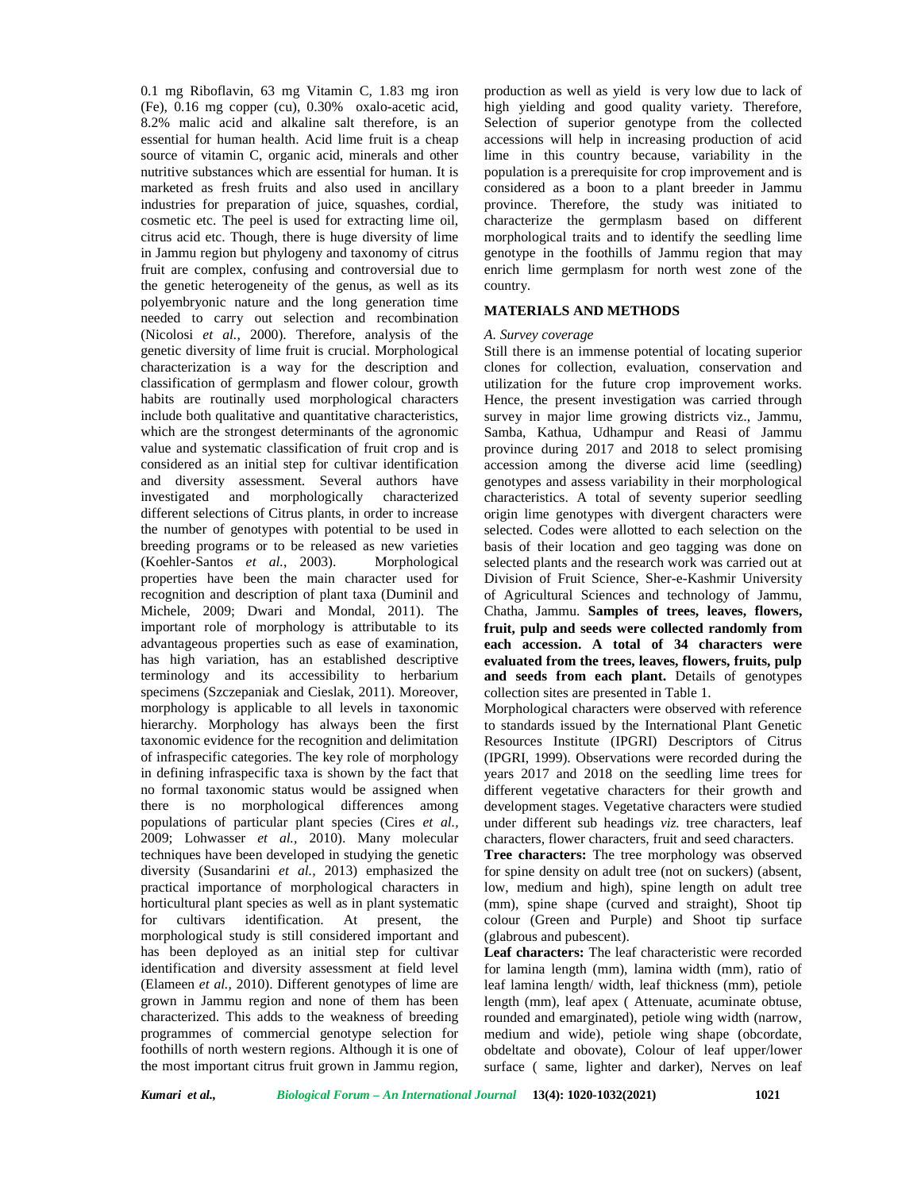0.1 mg Riboflavin, 63 mg Vitamin C, 1.83 mg iron (Fe), 0.16 mg copper (cu), 0.30% oxalo-acetic acid, 8.2% malic acid and alkaline salt therefore, is an essential for human health. Acid lime fruit is a cheap source of vitamin C, organic acid, minerals and other nutritive substances which are essential for human. It is marketed as fresh fruits and also used in ancillary industries for preparation of juice, squashes, cordial, cosmetic etc. The peel is used for extracting lime oil, citrus acid etc. Though, there is huge diversity of lime in Jammu region but phylogeny and taxonomy of citrus fruit are complex, confusing and controversial due to the genetic heterogeneity of the genus, as well as its polyembryonic nature and the long generation time needed to carry out selection and recombination (Nicolosi *et al.,* 2000). Therefore, analysis of the genetic diversity of lime fruit is crucial. Morphological characterization is a way for the description and classification of germplasm and flower colour, growth habits are routinally used morphological characters include both qualitative and quantitative characteristics, which are the strongest determinants of the agronomic value and systematic classification of fruit crop and is considered as an initial step for cultivar identification and diversity assessment. Several authors have investigated and morphologically characterized different selections of Citrus plants, in order to increase the number of genotypes with potential to be used in breeding programs or to be released as new varieties (Koehler-Santos *et al.*, 2003). Morphological properties have been the main character used for recognition and description of plant taxa (Duminil and Michele, 2009; Dwari and Mondal, 2011). The important role of morphology is attributable to its advantageous properties such as ease of examination, has high variation, has an established descriptive terminology and its accessibility to herbarium specimens (Szczepaniak and Cieslak, 2011). Moreover, morphology is applicable to all levels in taxonomic hierarchy. Morphology has always been the first taxonomic evidence for the recognition and delimitation of infraspecific categories. The key role of morphology in defining infraspecific taxa is shown by the fact that no formal taxonomic status would be assigned when there is no morphological differences among populations of particular plant species (Cires *et al.,* 2009; Lohwasser *et al.,* 2010). Many molecular techniques have been developed in studying the genetic diversity (Susandarini *et al.,* 2013) emphasized the practical importance of morphological characters in horticultural plant species as well as in plant systematic for cultivars identification. At present, the morphological study is still considered important and has been deployed as an initial step for cultivar identification and diversity assessment at field level (Elameen *et al.,* 2010). Different genotypes of lime are grown in Jammu region and none of them has been characterized. This adds to the weakness of breeding programmes of commercial genotype selection for foothills of north western regions. Although it is one of the most important citrus fruit grown in Jammu region,

production as well as yield is very low due to lack of high yielding and good quality variety. Therefore, Selection of superior genotype from the collected accessions will help in increasing production of acid lime in this country because, variability in the population is a prerequisite for crop improvement and is considered as a boon to a plant breeder in Jammu province. Therefore, the study was initiated to characterize the germplasm based on different morphological traits and to identify the seedling lime genotype in the foothills of Jammu region that may enrich lime germplasm for north west zone of the country.

### **MATERIALS AND METHODS**

#### *A. Survey coverage*

Still there is an immense potential of locating superior clones for collection, evaluation, conservation and utilization for the future crop improvement works. Hence, the present investigation was carried through survey in major lime growing districts viz., Jammu, Samba, Kathua, Udhampur and Reasi of Jammu province during 2017 and 2018 to select promising accession among the diverse acid lime (seedling) genotypes and assess variability in their morphological characteristics. A total of seventy superior seedling origin lime genotypes with divergent characters were selected. Codes were allotted to each selection on the basis of their location and geo tagging was done on selected plants and the research work was carried out at Division of Fruit Science, Sher-e-Kashmir University of Agricultural Sciences and technology of Jammu, Chatha, Jammu. **Samples of trees, leaves, flowers, fruit, pulp and seeds were collected randomly from each accession. A total of 34 characters were evaluated from the trees, leaves, flowers, fruits, pulp and seeds from each plant.** Details of genotypes collection sites are presented in Table 1.

Morphological characters were observed with reference to standards issued by the International Plant Genetic Resources Institute (IPGRI) Descriptors of Citrus (IPGRI, 1999). Observations were recorded during the years 2017 and 2018 on the seedling lime trees for different vegetative characters for their growth and development stages. Vegetative characters were studied under different sub headings *viz.* tree characters, leaf characters, flower characters, fruit and seed characters.

**Tree characters:** The tree morphology was observed for spine density on adult tree (not on suckers) (absent, low, medium and high), spine length on adult tree (mm), spine shape (curved and straight), Shoot tip colour (Green and Purple) and Shoot tip surface (glabrous and pubescent).

**Leaf characters:** The leaf characteristic were recorded for lamina length (mm), lamina width (mm), ratio of leaf lamina length/ width, leaf thickness (mm), petiole length (mm), leaf apex ( Attenuate, acuminate obtuse, rounded and emarginated), petiole wing width (narrow, medium and wide), petiole wing shape (obcordate, obdeltate and obovate), Colour of leaf upper/lower surface ( same, lighter and darker), Nerves on leaf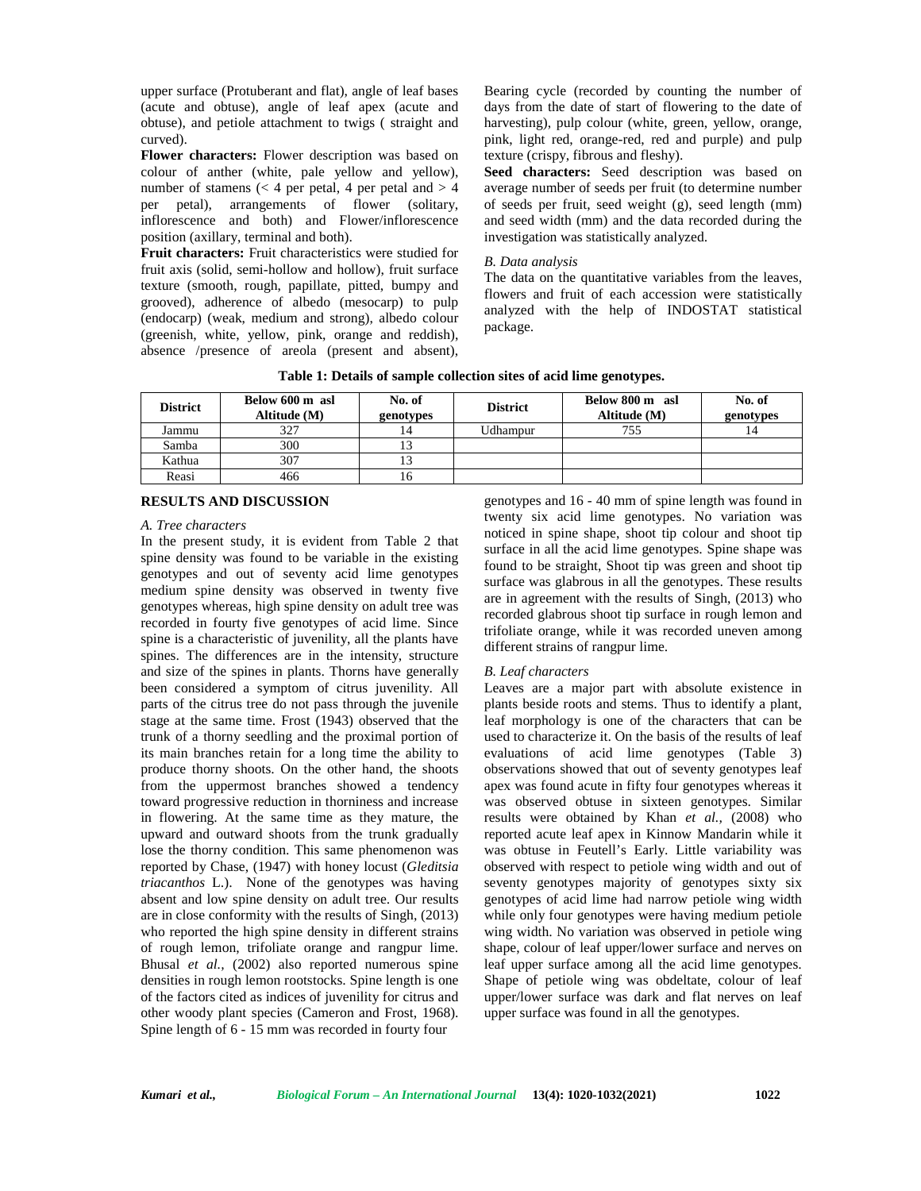upper surface (Protuberant and flat), angle of leaf bases (acute and obtuse), angle of leaf apex (acute and obtuse), and petiole attachment to twigs ( straight and curved).

**Flower characters:** Flower description was based on colour of anther (white, pale yellow and yellow), number of stamens  $\left($  < 4 per petal, 4 per petal and > 4 per petal), arrangements of flower (solitary, inflorescence and both) and Flower/inflorescence position (axillary, terminal and both).

**Fruit characters:** Fruit characteristics were studied for fruit axis (solid, semi-hollow and hollow), fruit surface texture (smooth, rough, papillate, pitted, bumpy and grooved), adherence of albedo (mesocarp) to pulp (endocarp) (weak, medium and strong), albedo colour (greenish, white, yellow, pink, orange and reddish), absence /presence of areola (present and absent),

Bearing cycle (recorded by counting the number of days from the date of start of flowering to the date of harvesting), pulp colour (white, green, yellow, orange, pink, light red, orange-red, red and purple) and pulp texture (crispy, fibrous and fleshy).

**Seed characters:** Seed description was based on average number of seeds per fruit (to determine number of seeds per fruit, seed weight (g), seed length (mm) and seed width (mm) and the data recorded during the investigation was statistically analyzed.

### *B. Data analysis*

The data on the quantitative variables from the leaves, flowers and fruit of each accession were statistically analyzed with the help of INDOSTAT statistical package.

| Table 1: Details of sample collection sites of acid lime genotypes. |
|---------------------------------------------------------------------|
|---------------------------------------------------------------------|

| <b>District</b> | Below 600 m asl<br>Altitude (M) | No. of<br>genotypes | <b>District</b> | Below 800 m asl<br>Altitude (M) | No. of<br>genotypes |
|-----------------|---------------------------------|---------------------|-----------------|---------------------------------|---------------------|
| Jammu           | 327                             | 14                  | Udhampur        | 755                             |                     |
| Samba           | 300                             |                     |                 |                                 |                     |
| Kathua          | 307                             |                     |                 |                                 |                     |
| Reasi           | 466                             | I n                 |                 |                                 |                     |

## **RESULTS AND DISCUSSION**

### *A. Tree characters*

In the present study, it is evident from Table 2 that spine density was found to be variable in the existing genotypes and out of seventy acid lime genotypes medium spine density was observed in twenty five genotypes whereas, high spine density on adult tree was recorded in fourty five genotypes of acid lime. Since spine is a characteristic of juvenility, all the plants have spines. The differences are in the intensity, structure and size of the spines in plants. Thorns have generally been considered a symptom of citrus juvenility. All parts of the citrus tree do not pass through the juvenile stage at the same time. Frost (1943) observed that the trunk of a thorny seedling and the proximal portion of its main branches retain for a long time the ability to produce thorny shoots. On the other hand, the shoots from the uppermost branches showed a tendency toward progressive reduction in thorniness and increase in flowering. At the same time as they mature, the upward and outward shoots from the trunk gradually lose the thorny condition. This same phenomenon was reported by Chase, (1947) with honey locust (*Gleditsia triacanthos* L.). None of the genotypes was having absent and low spine density on adult tree. Our results are in close conformity with the results of Singh, (2013) who reported the high spine density in different strains of rough lemon, trifoliate orange and rangpur lime. Bhusal *et al.,* (2002) also reported numerous spine densities in rough lemon rootstocks. Spine length is one of the factors cited as indices of juvenility for citrus and other woody plant species (Cameron and Frost, 1968). Spine length of 6 - 15 mm was recorded in fourty four

genotypes and 16 - 40 mm of spine length was found in twenty six acid lime genotypes. No variation was noticed in spine shape, shoot tip colour and shoot tip surface in all the acid lime genotypes. Spine shape was found to be straight, Shoot tip was green and shoot tip surface was glabrous in all the genotypes. These results are in agreement with the results of Singh, (2013) who recorded glabrous shoot tip surface in rough lemon and trifoliate orange, while it was recorded uneven among different strains of rangpur lime.

## *B. Leaf characters*

Leaves are a major part with absolute existence in plants beside roots and stems. Thus to identify a plant, leaf morphology is one of the characters that can be used to characterize it. On the basis of the results of leaf evaluations of acid lime genotypes (Table 3) observations showed that out of seventy genotypes leaf apex was found acute in fifty four genotypes whereas it was observed obtuse in sixteen genotypes. Similar results were obtained by Khan *et al.,* (2008) who reported acute leaf apex in Kinnow Mandarin while it was obtuse in Feutell's Early. Little variability was observed with respect to petiole wing width and out of seventy genotypes majority of genotypes sixty six genotypes of acid lime had narrow petiole wing width while only four genotypes were having medium petiole wing width. No variation was observed in petiole wing shape, colour of leaf upper/lower surface and nerves on leaf upper surface among all the acid lime genotypes. Shape of petiole wing was obdeltate, colour of leaf upper/lower surface was dark and flat nerves on leaf upper surface was found in all the genotypes.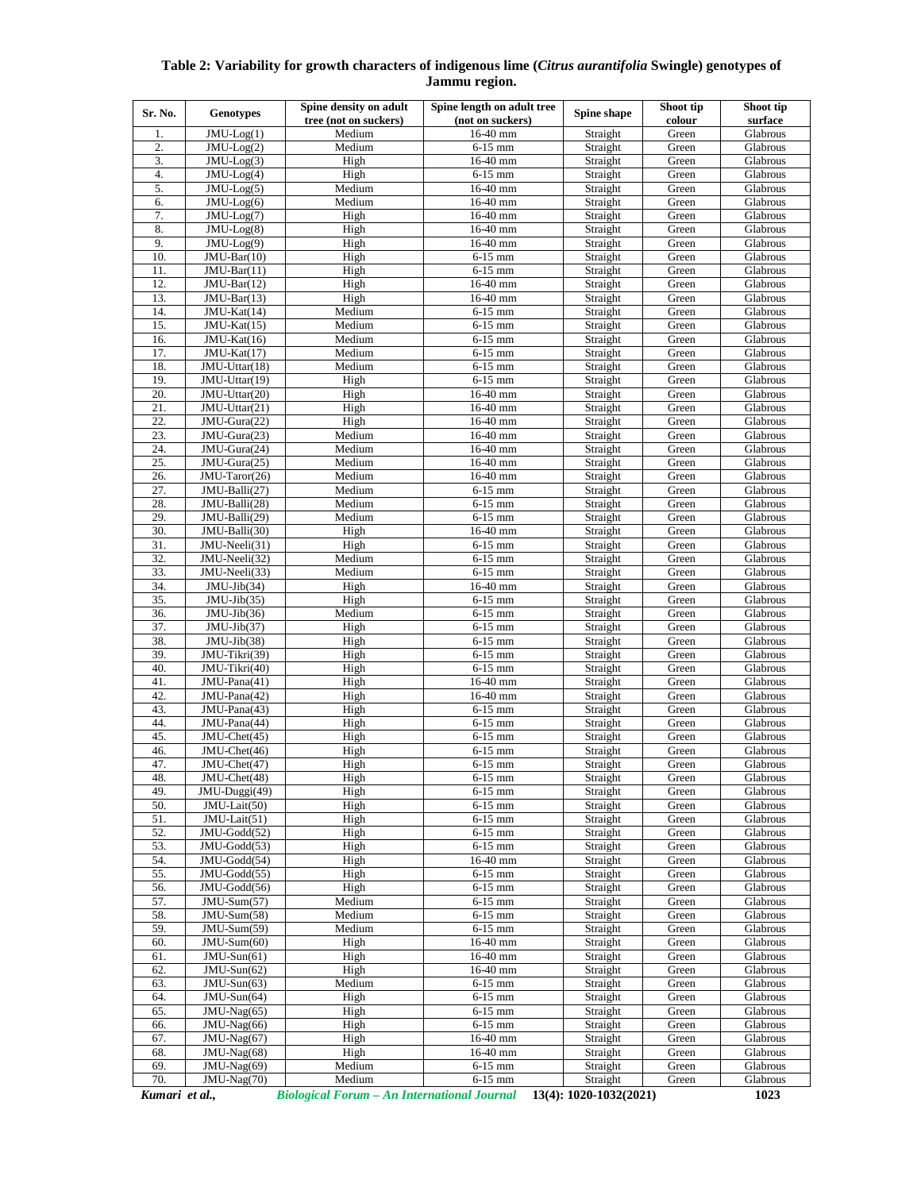# **Table 2: Variability for growth characters of indigenous lime (***Citrus aurantifolia* **Swingle) genotypes of Jammu region.**

| Sr. No.          | <b>Genotypes</b>                  | Spine density on adult<br>tree (not on suckers) | Spine length on adult tree<br>(not on suckers) | Spine shape                     | Shoot tip<br>colour | Shoot tip<br>surface |
|------------------|-----------------------------------|-------------------------------------------------|------------------------------------------------|---------------------------------|---------------------|----------------------|
| 1.               | $JMU-Log(1)$                      | Medium                                          | 16-40 mm                                       | Straight                        | Green               | Glabrous             |
| 2.               | $JMU-Log(2)$                      | Medium                                          | $6-15$ mm                                      | Straight                        | Green               | Glabrous             |
| $\overline{3}$ . | $JMU-Log(3)$                      | High                                            | 16-40 mm                                       | Straight                        | Green               | Glabrous             |
| 4.               | $JMU-Log(4)$                      | High                                            | $6-15$ mm                                      | Straight                        | Green               | Glabrous             |
| 5.               | $JMU-Log(5)$                      | Medium                                          | 16-40 mm                                       | Straight                        | Green               | Glabrous             |
| 6.               | $\overline{\text{JMU-Log}}(6)$    | Medium                                          | 16-40 mm                                       | Straight                        | Green               | Glabrous             |
| $\overline{7}$ . | $JMU-Log(7)$                      | High                                            | 16-40 mm                                       | Straight                        | Green               | Glabrous             |
| 8.               | $\overline{\text{JMU-Log}}(8)$    | High                                            | 16-40 mm                                       | Straight                        | Green               | Glabrous             |
| 9.               | $JMU-Log(9)$                      | High                                            | 16-40 mm                                       | Straight                        | Green               | Glabrous             |
| 10.              | $JMU-Bar(10)$                     | High                                            | $6-15$ mm                                      | Straight                        | Green               | Glabrous             |
| 11.              | $JMU-Bar(11)$                     | High                                            | 6-15 mm                                        | Straight                        | Green               | Glabrous             |
| 12.              | $\overline{JMU-Bar(12)}$          | High                                            | 16-40 mm                                       | Straight                        | Green               | Glabrous             |
| 13.              | $JMU-Bar(13)$                     | High                                            | 16-40 mm                                       | Straight                        | Green               | Glabrous             |
| 14.              | $JMU-Kat(14)$                     | Medium                                          | $6-15$ mm                                      | Straight                        | Green               | Glabrous             |
| 15.              | JMU-Kat(15)                       | Medium                                          | $6-15$ mm                                      | Straight                        | Green               | Glabrous             |
| 16.<br>17.       | JMU-Kat(16)<br>JMU-Kat(17)        | Medium<br>Medium                                | $6-15$ mm<br>$6-15$ mm                         | Straight<br>Straight            | Green<br>Green      | Glabrous<br>Glabrous |
| 18.              | $JMU-Uttar(18)$                   | Medium                                          | 6-15 mm                                        | Straight                        | Green               | Glabrous             |
| 19.              | $\overline{JMU-U}$ ttar $(19)$    | High                                            | $6-15$ mm                                      | Straight                        | Green               | Glabrous             |
| 20.              | $JMU-Uttar(20)$                   | High                                            | 16-40 mm                                       | Straight                        | Green               | Glabrous             |
| 21.              | $\overline{JMU-U}$ ttar(21)       | High                                            | 16-40 mm                                       | Straight                        | Green               | Glabrous             |
| 22.              | JMU-Gura(22)                      | High                                            | 16-40 mm                                       | Straight                        | Green               | Glabrous             |
| 23.              | $JMU-Gura(23)$                    | Medium                                          | 16-40 mm                                       | Straight                        | Green               | Glabrous             |
| 24.              | JMU-Gura(24)                      | Medium                                          | 16-40 mm                                       | Straight                        | Green               | Glabrous             |
| 25.              | $JMU-Gura(25)$                    | Medium                                          | 16-40 mm                                       | Straight                        | Green               | Glabrous             |
| 26.              | JMU-Taror(26)                     | Medium                                          | 16-40 mm                                       | Straight                        | Green               | Glabrous             |
| 27.              | JMU-Balli(27)                     | Medium                                          | $6-15$ mm                                      | Straight                        | Green               | Glabrous             |
| 28.              | JMU-Balli(28)                     | Medium                                          | $6-15$ mm                                      | Straight                        | Green               | Glabrous             |
| 29.              | JMU-Balli(29)                     | Medium                                          | $6-15$ mm                                      | Straight                        | Green               | Glabrous             |
| 30.              | JMU-Balli(30)                     | High                                            | 16-40 mm                                       | Straight                        | Green               | Glabrous             |
| 31.              | JMU-Neeli(31)                     | High                                            | $6-15$ mm                                      | Straight                        | Green               | Glabrous             |
| 32.              | JMU-Neeli(32)                     | Medium                                          | $6-15$ mm                                      | Straight                        | Green               | Glabrous             |
| 33.              | JMU-Neeli(33)                     | Medium                                          | $6-15$ mm                                      | Straight                        | Green               | Glabrous             |
| 34.              | JMU-Jib(34)                       | High                                            | 16-40 mm                                       | Straight                        | Green               | Glabrous             |
| 35.              | $JMU-Jib(35)$                     | High                                            | $6-15$ mm                                      | Straight                        | Green               | Glabrous             |
| 36.              | JMU-Jib(36)                       | Medium                                          | 6-15 mm                                        | Straight                        | Green               | Glabrous             |
| 37.              | $\overline{JMU-Jib(37)}$          | High                                            | $6-15$ mm                                      | Straight                        | Green               | Glabrous             |
| 38.<br>39.       | $JMU-Jib(38)$                     | High<br>High                                    | $6-15$ mm                                      | Straight                        | Green               | Glabrous             |
| 40.              | JMU-Tikri(39)<br>JMU-Tikri(40)    | High                                            | $6-15$ mm<br>$6-15$ mm                         | Straight<br>Straight            | Green<br>Green      | Glabrous<br>Glabrous |
| 41.              | $\overline{\text{JMU-P}}$ ana(41) | High                                            | 16-40 mm                                       | Straight                        | Green               | Glabrous             |
| 42.              | JMU-Pana(42)                      | High                                            | 16-40 mm                                       | Straight                        | Green               | Glabrous             |
| 43.              | $JMU-Pana(43)$                    | High                                            | $6-15$ mm                                      | Straight                        | Green               | Glabrous             |
| 44.              | JMU-Pana(44)                      | High                                            | 6-15 mm                                        | Straight                        | Green               | Glabrous             |
| 45.              | $JMU-Chet(45)$                    | High                                            | $6-15$ mm                                      | Straight                        | Green               | Glabrous             |
| 46.              | JMU-Chet(46)                      | High                                            | $6-15$ mm                                      | Straight                        | Green               | Glabrous             |
| 47.              | JMU-Chet(47)                      | High                                            | $6-15$ mm                                      | Straight                        | Green               | Glabrous             |
| 48.              | $JMU-Chet(48)$                    | High                                            | 6-15 mm                                        | Straight                        | Green               | Glabrous             |
| 49.              | JMU-Duggi(49)                     | High                                            | $6-15$ mm                                      | Straight                        | Green               | Glabrous             |
| 50.              | JMU-Lait(50)                      | High                                            | $6-15$ mm                                      | Straight                        | Green               | Glabrous             |
| 51.              | JMU-Lait(51)                      | High                                            | $6-15$ mm                                      | Straight                        | Green               | Glabrous             |
| 52.              | JMU-Godd(52)                      | High                                            | $6-15$ mm                                      | Straight                        | Green               | Glabrous             |
| 53.              | JMU-Godd(53)                      | High                                            | $6-15$ mm                                      | Straight                        | Green               | Glabrous             |
| 54.              | JMU-Godd(54)                      | High                                            | 16-40 mm                                       | Straight                        | Green               | Glabrous             |
| 55.              | $JMU-Godd(55)$                    | High                                            | $6-15$ mm                                      | Straight                        | Green               | Glabrous             |
| 56.<br>57.       | JMU-Godd(56)<br>$JMU-Sum(57)$     | High<br>Medium                                  | $6-15$ mm<br>$6-15$ mm                         | Straight                        | Green<br>Green      | Glabrous<br>Glabrous |
| 58.              | $JMU-Sum(58)$                     | Medium                                          | $6-15$ mm                                      | Straight<br>Straight            | Green               | Glabrous             |
| 59.              | JMU-Sum(59)                       | Medium                                          | $6-15$ mm                                      | Straight                        | Green               | Glabrous             |
| 60.              | $JMU-Sum(60)$                     | High                                            | 16-40 mm                                       | Straight                        | Green               | Glabrous             |
| 61.              | $JMU-Sun(61)$                     | High                                            | 16-40 mm                                       | Straight                        | Green               | Glabrous             |
| 62.              | $JMU-Sun(62)$                     | High                                            | 16-40 mm                                       | Straight                        | Green               | Glabrous             |
| 63.              | $JMU-Sun(63)$                     | Medium                                          | $6-15$ mm                                      | Straight                        | Green               | Glabrous             |
| 64.              | $JMU-Sun(64)$                     | High                                            | $6-15$ mm                                      | Straight                        | Green               | Glabrous             |
| 65.              | JMU-Nag(65)                       | High                                            | $6-15$ mm                                      | Straight                        | Green               | Glabrous             |
| 66.              | JMU-Nag(66)                       | High                                            | $6-15$ mm                                      | Straight                        | Green               | Glabrous             |
| 67.              | JMU-Nag(67)                       | High                                            | 16-40 mm                                       | Straight                        | Green               | Glabrous             |
| 68.              | JMU-Nag(68)                       | High                                            | 16-40 mm                                       | Straight                        | Green               | Glabrous             |
| 69.              | JMU-Nag(69)                       | Medium                                          | $6-15$ mm                                      | Straight                        | Green               | Glabrous             |
| 70.              | JMU-Nag(70)                       | Medium                                          | $6-15$ mm                                      | Straight                        | Green               | Glabrous             |
|                  |                                   |                                                 |                                                | $12(4)$ , $1020$ , $1022(2021)$ |                     | 1022                 |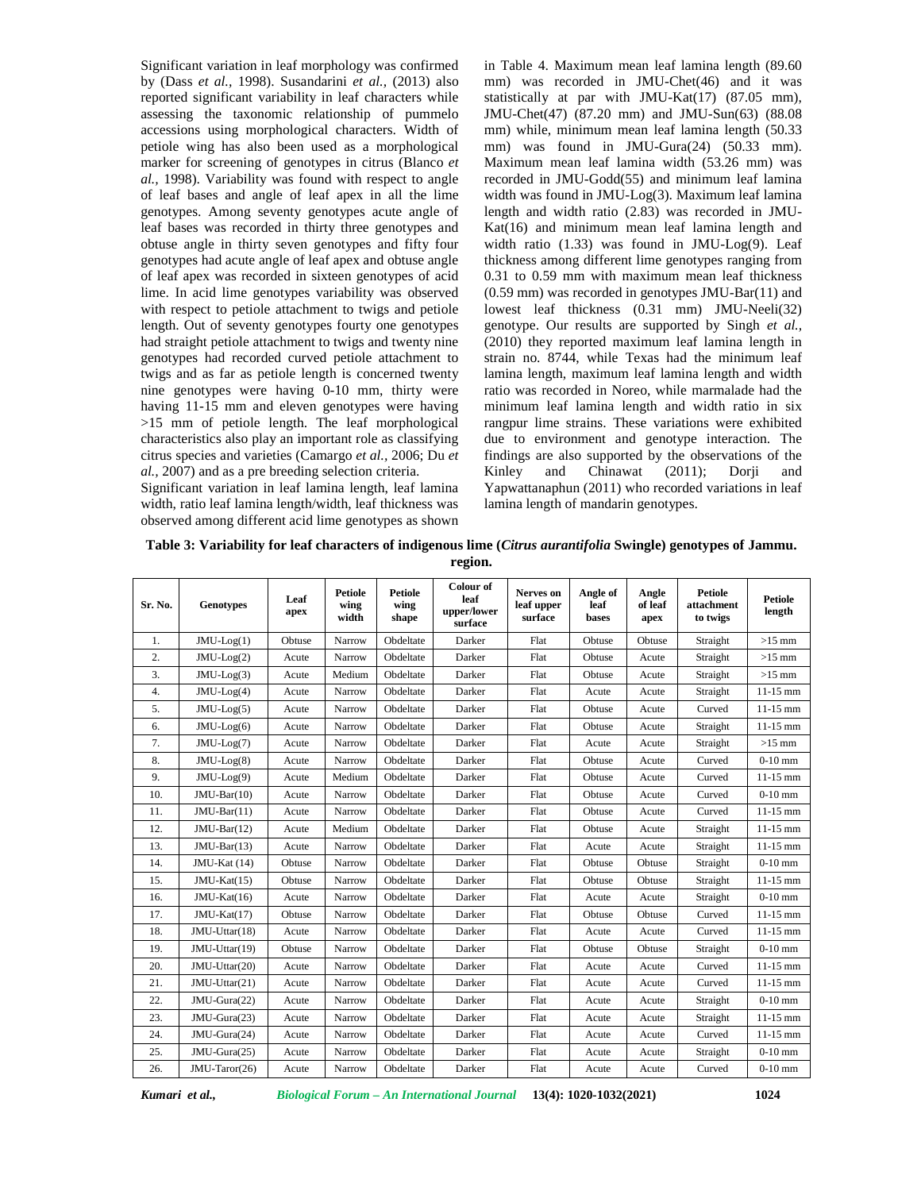Significant variation in leaf morphology was confirmed by (Dass *et al.,* 1998). Susandarini *et al.,* (2013) also reported significant variability in leaf characters while assessing the taxonomic relationship of pummelo accessions using morphological characters. Width of petiole wing has also been used as a morphological marker for screening of genotypes in citrus (Blanco *et al.,* 1998). Variability was found with respect to angle of leaf bases and angle of leaf apex in all the lime genotypes. Among seventy genotypes acute angle of leaf bases was recorded in thirty three genotypes and obtuse angle in thirty seven genotypes and fifty four genotypes had acute angle of leaf apex and obtuse angle of leaf apex was recorded in sixteen genotypes of acid lime. In acid lime genotypes variability was observed with respect to petiole attachment to twigs and petiole length. Out of seventy genotypes fourty one genotypes had straight petiole attachment to twigs and twenty nine genotypes had recorded curved petiole attachment to twigs and as far as petiole length is concerned twenty nine genotypes were having 0-10 mm, thirty were having 11-15 mm and eleven genotypes were having >15 mm of petiole length. The leaf morphological characteristics also play an important role as classifying citrus species and varieties (Camargo *et al.,* 2006; Du *et al.,* 2007) and as a pre breeding selection criteria.

Significant variation in leaf lamina length, leaf lamina width, ratio leaf lamina length/width, leaf thickness was observed among different acid lime genotypes as shown in Table 4. Maximum mean leaf lamina length (89.60 mm) was recorded in JMU-Chet(46) and it was statistically at par with JMU-Kat(17) (87.05 mm), JMU-Chet(47) (87.20 mm) and JMU-Sun(63) (88.08 mm) while, minimum mean leaf lamina length (50.33 mm) was found in JMU-Gura(24) (50.33 mm). Maximum mean leaf lamina width (53.26 mm) was recorded in JMU-Godd(55) and minimum leaf lamina width was found in JMU-Log(3). Maximum leaf lamina length and width ratio (2.83) was recorded in JMU- Kat(16) and minimum mean leaf lamina length and width ratio (1.33) was found in JMU-Log(9). Leaf thickness among different lime genotypes ranging from 0.31 to 0.59 mm with maximum mean leaf thickness (0.59 mm) was recorded in genotypes JMU-Bar(11) and lowest leaf thickness (0.31 mm) JMU-Neeli(32) genotype. Our results are supported by Singh *et al.,* (2010) they reported maximum leaf lamina length in strain no. 8744, while Texas had the minimum leaf lamina length, maximum leaf lamina length and width ratio was recorded in Noreo, while marmalade had the minimum leaf lamina length and width ratio in six rangpur lime strains. These variations were exhibited due to environment and genotype interaction. The findings are also supported by the observations of the Kinley and Chinawat (2011); Dorji and Yapwattanaphun (2011) who recorded variations in leaf lamina length of mandarin genotypes.

| Table 3: Variability for leaf characters of indigenous lime (Citrus aurantifolia Swingle) genotypes of Jammu. |  |
|---------------------------------------------------------------------------------------------------------------|--|
| region.                                                                                                       |  |

| Sr. No. | <b>Genotypes</b> | Leaf<br>apex | <b>Petiole</b><br>wing<br>width | <b>Petiole</b><br>wing<br>shape | Colour of<br>leaf<br>upper/lower<br>surface | Nerves on<br>leaf upper<br>surface | Angle of<br>leaf<br>bases | Angle<br>of leaf<br>apex | <b>Petiole</b><br>attachment<br>to twigs | <b>Petiole</b><br>length |
|---------|------------------|--------------|---------------------------------|---------------------------------|---------------------------------------------|------------------------------------|---------------------------|--------------------------|------------------------------------------|--------------------------|
| 1.      | $JMU-Log(1)$     | Obtuse       | Narrow                          | Obdeltate                       | Darker                                      | Flat                               | Obtuse                    | Obtuse                   | Straight                                 | $>15$ mm                 |
| 2.      | $JMU-Log(2)$     | Acute        | Narrow                          | Obdeltate                       | Darker                                      | Flat                               | Obtuse                    | Acute                    | Straight                                 | $>15$ mm                 |
| 3.      | $JMU-Log(3)$     | Acute        | Medium                          | Obdeltate                       | Darker                                      | Flat                               | Obtuse                    | Acute                    | Straight                                 | $>15$ mm                 |
| 4.      | $JMU-Log(4)$     | Acute        | Narrow                          | Obdeltate                       | Darker                                      | Flat                               | Acute                     | Acute                    | Straight                                 | $11-15$ mm               |
| 5.      | $JMU-Log(5)$     | Acute        | Narrow                          | Obdeltate                       | Darker                                      | Flat                               | Obtuse                    | Acute                    | Curved                                   | $11 - 15$ mm             |
| 6.      | $JMU-Log(6)$     | Acute        | Narrow                          | Obdeltate                       | Darker                                      | Flat                               | Obtuse                    | Acute                    | Straight                                 | $11-15$ mm               |
| 7.      | JMU-Log(7)       | Acute        | Narrow                          | Obdeltate                       | Darker                                      | Flat                               | Acute                     | Acute                    | Straight                                 | $>15$ mm                 |
| 8.      | $JMU-Log(8)$     | Acute        | Narrow                          | Obdeltate                       | Darker                                      | Flat                               | Obtuse                    | Acute                    | Curved                                   | $0-10$ mm                |
| 9.      | JMU-Log(9)       | Acute        | Medium                          | Obdeltate                       | Darker                                      | Flat                               | Obtuse                    | Acute                    | Curved                                   | $11-15$ mm               |
| 10.     | $JMU-Bar(10)$    | Acute        | Narrow                          | Obdeltate                       | Darker                                      | Flat                               | Obtuse                    | Acute                    | Curved                                   | $0-10$ mm                |
| 11.     | $JMU-Bar(11)$    | Acute        | Narrow                          | Obdeltate                       | Darker                                      | Flat                               | Obtuse                    | Acute                    | Curved                                   | $11 - 15$ mm             |
| 12.     | $JMU-Bar(12)$    | Acute        | Medium                          | Obdeltate                       | Darker                                      | Flat                               | Obtuse                    | Acute                    | Straight                                 | $11-15$ mm               |
| 13.     | $JMU-Bar(13)$    | Acute        | Narrow                          | Obdeltate                       | Darker                                      | Flat                               | Acute                     | Acute                    | Straight                                 | $11-15$ mm               |
| 14.     | JMU-Kat (14)     | Obtuse       | Narrow                          | Obdeltate                       | Darker                                      | Flat                               | Obtuse                    | Obtuse                   | Straight                                 | $0-10$ mm                |
| 15.     | $JMU-Kat(15)$    | Obtuse       | Narrow                          | Obdeltate                       | Darker                                      | Flat                               | Obtuse                    | Obtuse                   | Straight                                 | $11-15$ mm               |
| 16.     | $JMU-Kat(16)$    | Acute        | Narrow                          | Obdeltate                       | Darker                                      | Flat                               | Acute                     | Acute                    | Straight                                 | $0-10$ mm                |
| 17.     | $JMU-Kat(17)$    | Obtuse       | Narrow                          | Obdeltate                       | Darker                                      | Flat                               | Obtuse                    | Obtuse                   | Curved                                   | $11-15$ mm               |
| 18.     | JMU-Uttar(18)    | Acute        | Narrow                          | Obdeltate                       | Darker                                      | Flat                               | Acute                     | Acute                    | Curved                                   | $11-15$ mm               |
| 19.     | JMU-Uttar(19)    | Obtuse       | Narrow                          | Obdeltate                       | Darker                                      | Flat                               | Obtuse                    | Obtuse                   | Straight                                 | $0-10$ mm                |
| 20.     | JMU-Uttar(20)    | Acute        | Narrow                          | Obdeltate                       | Darker                                      | Flat                               | Acute                     | Acute                    | Curved                                   | $11-15$ mm               |
| 21.     | JMU-Uttar(21)    | Acute        | Narrow                          | Obdeltate                       | Darker                                      | Flat                               | Acute                     | Acute                    | Curved                                   | $11 - 15$ mm             |
| 22.     | JMU-Gura(22)     | Acute        | Narrow                          | Obdeltate                       | Darker                                      | Flat                               | Acute                     | Acute                    | Straight                                 | $0-10$ mm                |
| 23.     | JMU-Gura(23)     | Acute        | Narrow                          | Obdeltate                       | Darker                                      | Flat                               | Acute                     | Acute                    | Straight                                 | $11 - 15$ mm             |
| 24.     | JMU-Gura(24)     | Acute        | Narrow                          | Obdeltate                       | Darker                                      | Flat                               | Acute                     | Acute                    | Curved                                   | $11-15$ mm               |
| 25.     | JMU-Gura(25)     | Acute        | Narrow                          | Obdeltate                       | Darker                                      | Flat                               | Acute                     | Acute                    | Straight                                 | $0-10$ mm                |
| 26.     | JMU-Taror(26)    | Acute        | Narrow                          | Obdeltate                       | Darker                                      | Flat                               | Acute                     | Acute                    | Curved                                   | $0-10$ mm                |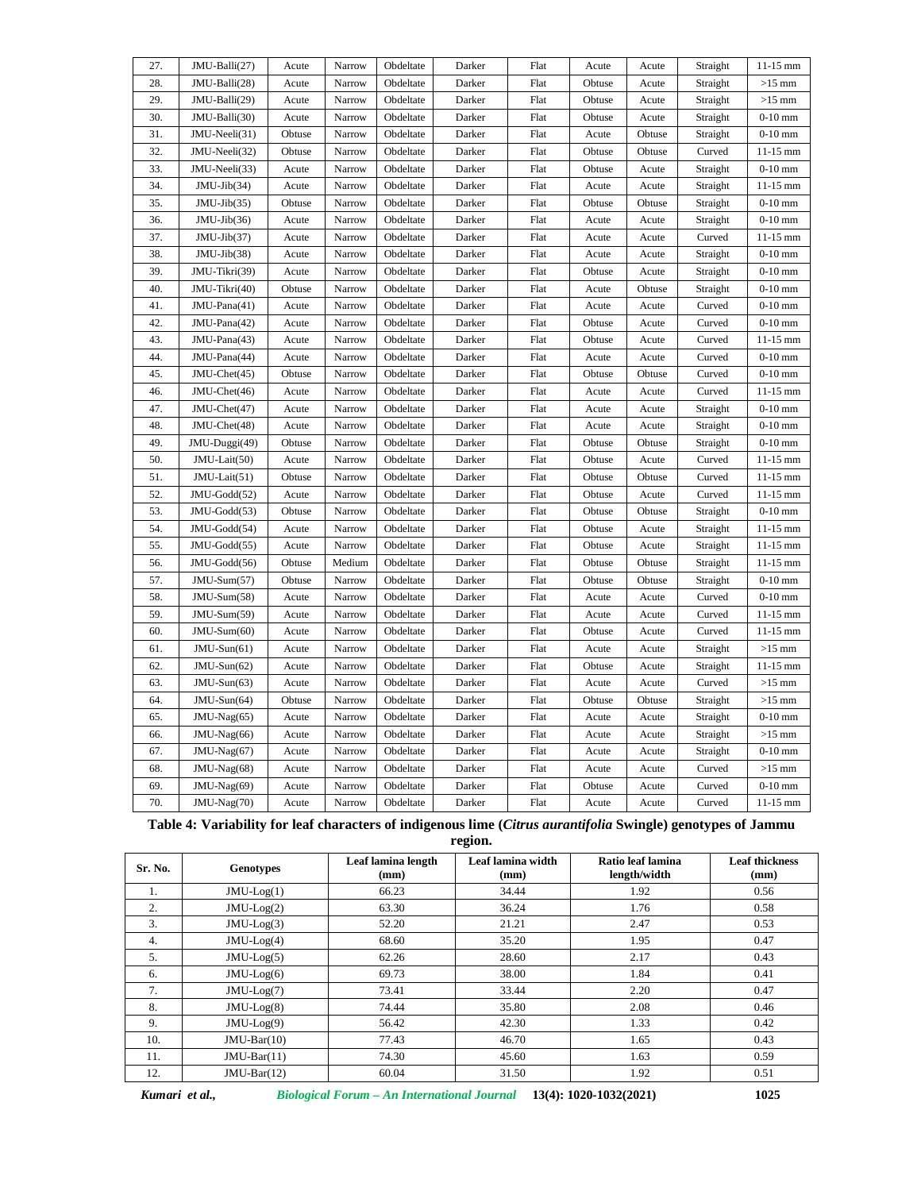| 28.<br>JMU-Balli(28)<br>Obdeltate<br>$>15$ mm<br>Acute<br>Narrow<br>Darker<br>Flat<br>Obtuse<br>Acute<br>Straight<br>29.<br>JMU-Balli(29)<br>Obdeltate<br>Flat<br>$>15$ mm<br>Narrow<br>Darker<br>Obtuse<br>Straight<br>Acute<br>Acute<br>30.<br>JMU-Balli(30)<br>Obdeltate<br>Flat<br>$0-10$ mm<br>Acute<br>Narrow<br>Darker<br>Obtuse<br>Acute<br>Straight<br>31.<br>JMU-Neeli(31)<br>Obdeltate<br>Darker<br>Flat<br>$0-10$ mm<br>Obtuse<br>Narrow<br>Acute<br>Obtuse<br>Straight<br>32.<br>JMU-Neeli(32)<br>Obdeltate<br>Darker<br>Flat<br>$11-15$ mm<br>Obtuse<br>Narrow<br>Obtuse<br>Obtuse<br>Curved<br>33.<br>JMU-Neeli(33)<br>Obdeltate<br>Flat<br>Straight<br>$0-10$ mm<br>Acute<br>Narrow<br>Darker<br>Obtuse<br>Acute<br>34.<br>$JMU-Jib(34)$<br>Flat<br>Narrow<br>Obdeltate<br>Darker<br>Straight<br>$11-15$ mm<br>Acute<br>Acute<br>Acute<br>35.<br>$JMU-Jib(35)$<br>Obdeltate<br>Flat<br>Obtuse<br>Straight<br>$0-10$ mm<br>Obtuse<br>Narrow<br>Darker<br>Obtuse<br>36.<br>$JMU-Jib(36)$<br>Obdeltate<br>Darker<br>Flat<br>Straight<br>$0-10$ mm<br>Acute<br>Narrow<br>Acute<br>Acute<br>37.<br>$JMU-Jib(37)$<br>Obdeltate<br>Darker<br>Flat<br>Curved<br>$11-15$ mm<br>Acute<br>Narrow<br>Acute<br>Acute<br>38.<br>$JMU-Jib(38)$<br>$0-10$ mm<br>Obdeltate<br>Darker<br>Flat<br>Straight<br>Acute<br>Narrow<br>Acute<br>Acute<br>39.<br>Obdeltate<br>Flat<br>$0-10$ mm<br>JMU-Tikri(39)<br>Acute<br>Narrow<br>Darker<br>Obtuse<br>Acute<br>Straight<br>40.<br>Flat<br>JMU-Tikri(40)<br>Obtuse<br>Narrow<br>Obdeltate<br>Darker<br>Acute<br>Obtuse<br>Straight<br>$0-10$ mm<br>$0-10$ mm<br>41.<br>JMU-Pana(41)<br>Acute<br>Narrow<br>Obdeltate<br>Darker<br>Flat<br>Acute<br>Curved<br>Acute<br>42.<br>JMU-Pana(42)<br>Flat<br>$0-10$ mm<br>Narrow<br>Obdeltate<br>Darker<br>Obtuse<br>Acute<br>Curved<br>Acute<br>43.<br>JMU-Pana(43)<br>Obdeltate<br>Darker<br>Flat<br>$11-15$ mm<br>Acute<br>Narrow<br>Obtuse<br>Acute<br>Curved<br>44.<br>JMU-Pana(44)<br>Obdeltate<br>Darker<br>Flat<br>Curved<br>$0-10$ mm<br>Acute<br>Narrow<br>Acute<br>Acute<br>45.<br>JMU-Chet(45)<br>$0-10$ mm<br>Obtuse<br>Narrow<br>Obdeltate<br>Darker<br>Flat<br>Obtuse<br>Obtuse<br>Curved<br>46.<br>JMU-Chet(46)<br>Flat<br>$11-15$ mm<br>Acute<br>Narrow<br>Obdeltate<br>Darker<br>Acute<br>Acute<br>Curved<br>47.<br>JMU-Chet(47)<br>$0-10$ mm<br>Obdeltate<br>Darker<br>Flat<br>Acute<br>Narrow<br>Acute<br>Acute<br>Straight<br>48.<br>$0-10$ mm<br>JMU-Chet(48)<br>Narrow<br>Obdeltate<br>Darker<br>Flat<br>Straight<br>Acute<br>Acute<br>Acute<br>49.<br>JMU-Duggi(49)<br>Obtuse<br>Narrow<br>Obdeltate<br>Darker<br>Flat<br>Obtuse<br>Obtuse<br>Straight<br>$0-10$ mm |
|------------------------------------------------------------------------------------------------------------------------------------------------------------------------------------------------------------------------------------------------------------------------------------------------------------------------------------------------------------------------------------------------------------------------------------------------------------------------------------------------------------------------------------------------------------------------------------------------------------------------------------------------------------------------------------------------------------------------------------------------------------------------------------------------------------------------------------------------------------------------------------------------------------------------------------------------------------------------------------------------------------------------------------------------------------------------------------------------------------------------------------------------------------------------------------------------------------------------------------------------------------------------------------------------------------------------------------------------------------------------------------------------------------------------------------------------------------------------------------------------------------------------------------------------------------------------------------------------------------------------------------------------------------------------------------------------------------------------------------------------------------------------------------------------------------------------------------------------------------------------------------------------------------------------------------------------------------------------------------------------------------------------------------------------------------------------------------------------------------------------------------------------------------------------------------------------------------------------------------------------------------------------------------------------------------------------------------------------------------------------------------------------------------------------------------------------------------------------------------------------------------------------------------------------------------------------------------------------------------------------------------------------------------------------------|
|                                                                                                                                                                                                                                                                                                                                                                                                                                                                                                                                                                                                                                                                                                                                                                                                                                                                                                                                                                                                                                                                                                                                                                                                                                                                                                                                                                                                                                                                                                                                                                                                                                                                                                                                                                                                                                                                                                                                                                                                                                                                                                                                                                                                                                                                                                                                                                                                                                                                                                                                                                                                                                                                              |
|                                                                                                                                                                                                                                                                                                                                                                                                                                                                                                                                                                                                                                                                                                                                                                                                                                                                                                                                                                                                                                                                                                                                                                                                                                                                                                                                                                                                                                                                                                                                                                                                                                                                                                                                                                                                                                                                                                                                                                                                                                                                                                                                                                                                                                                                                                                                                                                                                                                                                                                                                                                                                                                                              |
|                                                                                                                                                                                                                                                                                                                                                                                                                                                                                                                                                                                                                                                                                                                                                                                                                                                                                                                                                                                                                                                                                                                                                                                                                                                                                                                                                                                                                                                                                                                                                                                                                                                                                                                                                                                                                                                                                                                                                                                                                                                                                                                                                                                                                                                                                                                                                                                                                                                                                                                                                                                                                                                                              |
|                                                                                                                                                                                                                                                                                                                                                                                                                                                                                                                                                                                                                                                                                                                                                                                                                                                                                                                                                                                                                                                                                                                                                                                                                                                                                                                                                                                                                                                                                                                                                                                                                                                                                                                                                                                                                                                                                                                                                                                                                                                                                                                                                                                                                                                                                                                                                                                                                                                                                                                                                                                                                                                                              |
|                                                                                                                                                                                                                                                                                                                                                                                                                                                                                                                                                                                                                                                                                                                                                                                                                                                                                                                                                                                                                                                                                                                                                                                                                                                                                                                                                                                                                                                                                                                                                                                                                                                                                                                                                                                                                                                                                                                                                                                                                                                                                                                                                                                                                                                                                                                                                                                                                                                                                                                                                                                                                                                                              |
|                                                                                                                                                                                                                                                                                                                                                                                                                                                                                                                                                                                                                                                                                                                                                                                                                                                                                                                                                                                                                                                                                                                                                                                                                                                                                                                                                                                                                                                                                                                                                                                                                                                                                                                                                                                                                                                                                                                                                                                                                                                                                                                                                                                                                                                                                                                                                                                                                                                                                                                                                                                                                                                                              |
|                                                                                                                                                                                                                                                                                                                                                                                                                                                                                                                                                                                                                                                                                                                                                                                                                                                                                                                                                                                                                                                                                                                                                                                                                                                                                                                                                                                                                                                                                                                                                                                                                                                                                                                                                                                                                                                                                                                                                                                                                                                                                                                                                                                                                                                                                                                                                                                                                                                                                                                                                                                                                                                                              |
|                                                                                                                                                                                                                                                                                                                                                                                                                                                                                                                                                                                                                                                                                                                                                                                                                                                                                                                                                                                                                                                                                                                                                                                                                                                                                                                                                                                                                                                                                                                                                                                                                                                                                                                                                                                                                                                                                                                                                                                                                                                                                                                                                                                                                                                                                                                                                                                                                                                                                                                                                                                                                                                                              |
|                                                                                                                                                                                                                                                                                                                                                                                                                                                                                                                                                                                                                                                                                                                                                                                                                                                                                                                                                                                                                                                                                                                                                                                                                                                                                                                                                                                                                                                                                                                                                                                                                                                                                                                                                                                                                                                                                                                                                                                                                                                                                                                                                                                                                                                                                                                                                                                                                                                                                                                                                                                                                                                                              |
|                                                                                                                                                                                                                                                                                                                                                                                                                                                                                                                                                                                                                                                                                                                                                                                                                                                                                                                                                                                                                                                                                                                                                                                                                                                                                                                                                                                                                                                                                                                                                                                                                                                                                                                                                                                                                                                                                                                                                                                                                                                                                                                                                                                                                                                                                                                                                                                                                                                                                                                                                                                                                                                                              |
|                                                                                                                                                                                                                                                                                                                                                                                                                                                                                                                                                                                                                                                                                                                                                                                                                                                                                                                                                                                                                                                                                                                                                                                                                                                                                                                                                                                                                                                                                                                                                                                                                                                                                                                                                                                                                                                                                                                                                                                                                                                                                                                                                                                                                                                                                                                                                                                                                                                                                                                                                                                                                                                                              |
|                                                                                                                                                                                                                                                                                                                                                                                                                                                                                                                                                                                                                                                                                                                                                                                                                                                                                                                                                                                                                                                                                                                                                                                                                                                                                                                                                                                                                                                                                                                                                                                                                                                                                                                                                                                                                                                                                                                                                                                                                                                                                                                                                                                                                                                                                                                                                                                                                                                                                                                                                                                                                                                                              |
|                                                                                                                                                                                                                                                                                                                                                                                                                                                                                                                                                                                                                                                                                                                                                                                                                                                                                                                                                                                                                                                                                                                                                                                                                                                                                                                                                                                                                                                                                                                                                                                                                                                                                                                                                                                                                                                                                                                                                                                                                                                                                                                                                                                                                                                                                                                                                                                                                                                                                                                                                                                                                                                                              |
|                                                                                                                                                                                                                                                                                                                                                                                                                                                                                                                                                                                                                                                                                                                                                                                                                                                                                                                                                                                                                                                                                                                                                                                                                                                                                                                                                                                                                                                                                                                                                                                                                                                                                                                                                                                                                                                                                                                                                                                                                                                                                                                                                                                                                                                                                                                                                                                                                                                                                                                                                                                                                                                                              |
|                                                                                                                                                                                                                                                                                                                                                                                                                                                                                                                                                                                                                                                                                                                                                                                                                                                                                                                                                                                                                                                                                                                                                                                                                                                                                                                                                                                                                                                                                                                                                                                                                                                                                                                                                                                                                                                                                                                                                                                                                                                                                                                                                                                                                                                                                                                                                                                                                                                                                                                                                                                                                                                                              |
|                                                                                                                                                                                                                                                                                                                                                                                                                                                                                                                                                                                                                                                                                                                                                                                                                                                                                                                                                                                                                                                                                                                                                                                                                                                                                                                                                                                                                                                                                                                                                                                                                                                                                                                                                                                                                                                                                                                                                                                                                                                                                                                                                                                                                                                                                                                                                                                                                                                                                                                                                                                                                                                                              |
|                                                                                                                                                                                                                                                                                                                                                                                                                                                                                                                                                                                                                                                                                                                                                                                                                                                                                                                                                                                                                                                                                                                                                                                                                                                                                                                                                                                                                                                                                                                                                                                                                                                                                                                                                                                                                                                                                                                                                                                                                                                                                                                                                                                                                                                                                                                                                                                                                                                                                                                                                                                                                                                                              |
|                                                                                                                                                                                                                                                                                                                                                                                                                                                                                                                                                                                                                                                                                                                                                                                                                                                                                                                                                                                                                                                                                                                                                                                                                                                                                                                                                                                                                                                                                                                                                                                                                                                                                                                                                                                                                                                                                                                                                                                                                                                                                                                                                                                                                                                                                                                                                                                                                                                                                                                                                                                                                                                                              |
|                                                                                                                                                                                                                                                                                                                                                                                                                                                                                                                                                                                                                                                                                                                                                                                                                                                                                                                                                                                                                                                                                                                                                                                                                                                                                                                                                                                                                                                                                                                                                                                                                                                                                                                                                                                                                                                                                                                                                                                                                                                                                                                                                                                                                                                                                                                                                                                                                                                                                                                                                                                                                                                                              |
|                                                                                                                                                                                                                                                                                                                                                                                                                                                                                                                                                                                                                                                                                                                                                                                                                                                                                                                                                                                                                                                                                                                                                                                                                                                                                                                                                                                                                                                                                                                                                                                                                                                                                                                                                                                                                                                                                                                                                                                                                                                                                                                                                                                                                                                                                                                                                                                                                                                                                                                                                                                                                                                                              |
|                                                                                                                                                                                                                                                                                                                                                                                                                                                                                                                                                                                                                                                                                                                                                                                                                                                                                                                                                                                                                                                                                                                                                                                                                                                                                                                                                                                                                                                                                                                                                                                                                                                                                                                                                                                                                                                                                                                                                                                                                                                                                                                                                                                                                                                                                                                                                                                                                                                                                                                                                                                                                                                                              |
|                                                                                                                                                                                                                                                                                                                                                                                                                                                                                                                                                                                                                                                                                                                                                                                                                                                                                                                                                                                                                                                                                                                                                                                                                                                                                                                                                                                                                                                                                                                                                                                                                                                                                                                                                                                                                                                                                                                                                                                                                                                                                                                                                                                                                                                                                                                                                                                                                                                                                                                                                                                                                                                                              |
| 50.<br>JMU-Lait(50)<br>Flat<br>Acute<br>Narrow<br>Obdeltate<br>Darker<br>Obtuse<br>Acute<br>Curved<br>$11-15$ mm                                                                                                                                                                                                                                                                                                                                                                                                                                                                                                                                                                                                                                                                                                                                                                                                                                                                                                                                                                                                                                                                                                                                                                                                                                                                                                                                                                                                                                                                                                                                                                                                                                                                                                                                                                                                                                                                                                                                                                                                                                                                                                                                                                                                                                                                                                                                                                                                                                                                                                                                                             |
| 51.<br>JMU-Lait(51)<br>$11-15$ mm<br>Obtuse<br>Narrow<br>Obdeltate<br>Darker<br>Flat<br>Obtuse<br>Obtuse<br>Curved                                                                                                                                                                                                                                                                                                                                                                                                                                                                                                                                                                                                                                                                                                                                                                                                                                                                                                                                                                                                                                                                                                                                                                                                                                                                                                                                                                                                                                                                                                                                                                                                                                                                                                                                                                                                                                                                                                                                                                                                                                                                                                                                                                                                                                                                                                                                                                                                                                                                                                                                                           |
| 52.<br>JMU-Godd(52)<br>Obdeltate<br>Darker<br>Flat<br>Obtuse<br>Curved<br>$11-15$ mm<br>Acute<br>Narrow<br>Acute                                                                                                                                                                                                                                                                                                                                                                                                                                                                                                                                                                                                                                                                                                                                                                                                                                                                                                                                                                                                                                                                                                                                                                                                                                                                                                                                                                                                                                                                                                                                                                                                                                                                                                                                                                                                                                                                                                                                                                                                                                                                                                                                                                                                                                                                                                                                                                                                                                                                                                                                                             |
| 53.<br>JMU-Godd(53)<br>$0-10$ mm<br>Narrow<br>Obdeltate<br>Darker<br>Flat<br>Obtuse<br>Obtuse<br>Obtuse<br>Straight                                                                                                                                                                                                                                                                                                                                                                                                                                                                                                                                                                                                                                                                                                                                                                                                                                                                                                                                                                                                                                                                                                                                                                                                                                                                                                                                                                                                                                                                                                                                                                                                                                                                                                                                                                                                                                                                                                                                                                                                                                                                                                                                                                                                                                                                                                                                                                                                                                                                                                                                                          |
| 54.<br>JMU-Godd(54)<br>Obdeltate<br>Flat<br>Acute<br>Narrow<br>Darker<br>Obtuse<br>Acute<br>Straight<br>$11-15$ mm                                                                                                                                                                                                                                                                                                                                                                                                                                                                                                                                                                                                                                                                                                                                                                                                                                                                                                                                                                                                                                                                                                                                                                                                                                                                                                                                                                                                                                                                                                                                                                                                                                                                                                                                                                                                                                                                                                                                                                                                                                                                                                                                                                                                                                                                                                                                                                                                                                                                                                                                                           |
| 55.<br>JMU-Godd(55)<br>Obdeltate<br>Darker<br>Flat<br>Straight<br>$11-15$ mm<br>Acute<br>Narrow<br>Obtuse<br>Acute                                                                                                                                                                                                                                                                                                                                                                                                                                                                                                                                                                                                                                                                                                                                                                                                                                                                                                                                                                                                                                                                                                                                                                                                                                                                                                                                                                                                                                                                                                                                                                                                                                                                                                                                                                                                                                                                                                                                                                                                                                                                                                                                                                                                                                                                                                                                                                                                                                                                                                                                                           |
| $11-15$ mm<br>56.<br>JMU-Godd(56)<br>Obdeltate<br>Flat<br>Obtuse<br>Medium<br>Darker<br>Obtuse<br>Obtuse<br>Straight                                                                                                                                                                                                                                                                                                                                                                                                                                                                                                                                                                                                                                                                                                                                                                                                                                                                                                                                                                                                                                                                                                                                                                                                                                                                                                                                                                                                                                                                                                                                                                                                                                                                                                                                                                                                                                                                                                                                                                                                                                                                                                                                                                                                                                                                                                                                                                                                                                                                                                                                                         |
| 57.<br>$JMU-Sum(57)$<br>Flat<br>$0-10$ mm<br>Obtuse<br>Obdeltate<br>Darker<br>Obtuse<br>Obtuse<br>Straight<br>Narrow                                                                                                                                                                                                                                                                                                                                                                                                                                                                                                                                                                                                                                                                                                                                                                                                                                                                                                                                                                                                                                                                                                                                                                                                                                                                                                                                                                                                                                                                                                                                                                                                                                                                                                                                                                                                                                                                                                                                                                                                                                                                                                                                                                                                                                                                                                                                                                                                                                                                                                                                                         |
| 58.<br>JMU-Sum(58)<br>Obdeltate<br>Curved<br>$0-10$ mm<br>Acute<br>Narrow<br>Darker<br>Flat<br>Acute<br>Acute                                                                                                                                                                                                                                                                                                                                                                                                                                                                                                                                                                                                                                                                                                                                                                                                                                                                                                                                                                                                                                                                                                                                                                                                                                                                                                                                                                                                                                                                                                                                                                                                                                                                                                                                                                                                                                                                                                                                                                                                                                                                                                                                                                                                                                                                                                                                                                                                                                                                                                                                                                |
| 59.<br>JMU-Sum(59)<br>Obdeltate<br>Darker<br>Flat<br>Curved<br>$11-15$ mm<br>Acute<br>Narrow<br>Acute<br>Acute                                                                                                                                                                                                                                                                                                                                                                                                                                                                                                                                                                                                                                                                                                                                                                                                                                                                                                                                                                                                                                                                                                                                                                                                                                                                                                                                                                                                                                                                                                                                                                                                                                                                                                                                                                                                                                                                                                                                                                                                                                                                                                                                                                                                                                                                                                                                                                                                                                                                                                                                                               |
| JMU-Sum(60)<br>60.<br>Obdeltate<br>Darker<br>Flat<br>$11-15$ mm<br>Acute<br>Narrow<br>Obtuse<br>Acute<br>Curved                                                                                                                                                                                                                                                                                                                                                                                                                                                                                                                                                                                                                                                                                                                                                                                                                                                                                                                                                                                                                                                                                                                                                                                                                                                                                                                                                                                                                                                                                                                                                                                                                                                                                                                                                                                                                                                                                                                                                                                                                                                                                                                                                                                                                                                                                                                                                                                                                                                                                                                                                              |
| $JMU-Sun(61)$<br>$>15$ mm<br>61.<br>Narrow<br>Obdeltate<br>Darker<br>Flat<br>Acute<br>Acute<br>Acute<br>Straight                                                                                                                                                                                                                                                                                                                                                                                                                                                                                                                                                                                                                                                                                                                                                                                                                                                                                                                                                                                                                                                                                                                                                                                                                                                                                                                                                                                                                                                                                                                                                                                                                                                                                                                                                                                                                                                                                                                                                                                                                                                                                                                                                                                                                                                                                                                                                                                                                                                                                                                                                             |
| 62.<br>Obdeltate<br>Darker<br>Flat<br>$11-15$ mm<br>$JMU-Sun(62)$<br>Acute<br>Narrow<br>Obtuse<br>Acute<br>Straight                                                                                                                                                                                                                                                                                                                                                                                                                                                                                                                                                                                                                                                                                                                                                                                                                                                                                                                                                                                                                                                                                                                                                                                                                                                                                                                                                                                                                                                                                                                                                                                                                                                                                                                                                                                                                                                                                                                                                                                                                                                                                                                                                                                                                                                                                                                                                                                                                                                                                                                                                          |
| 63.<br>$JMU-Sun(63)$<br>Acute<br>Narrow<br>Obdeltate<br>Darker<br>Flat<br>Curved<br>$>15$ mm<br>Acute<br>Acute                                                                                                                                                                                                                                                                                                                                                                                                                                                                                                                                                                                                                                                                                                                                                                                                                                                                                                                                                                                                                                                                                                                                                                                                                                                                                                                                                                                                                                                                                                                                                                                                                                                                                                                                                                                                                                                                                                                                                                                                                                                                                                                                                                                                                                                                                                                                                                                                                                                                                                                                                               |
| 64.<br>$JMU-Sun(64)$<br>Obtuse<br>Narrow<br>Obdeltate<br>Darker<br>Flat<br>Obtuse<br>Obtuse<br>Straight<br>$>15$ mm                                                                                                                                                                                                                                                                                                                                                                                                                                                                                                                                                                                                                                                                                                                                                                                                                                                                                                                                                                                                                                                                                                                                                                                                                                                                                                                                                                                                                                                                                                                                                                                                                                                                                                                                                                                                                                                                                                                                                                                                                                                                                                                                                                                                                                                                                                                                                                                                                                                                                                                                                          |
| $0-10$ mm<br>65.<br>JMU-Nag(65)<br>Obdeltate<br>Darker<br>Flat<br>Straight<br>Acute<br>Narrow<br>Acute<br>Acute                                                                                                                                                                                                                                                                                                                                                                                                                                                                                                                                                                                                                                                                                                                                                                                                                                                                                                                                                                                                                                                                                                                                                                                                                                                                                                                                                                                                                                                                                                                                                                                                                                                                                                                                                                                                                                                                                                                                                                                                                                                                                                                                                                                                                                                                                                                                                                                                                                                                                                                                                              |
| JMU-Nag(66)<br>Obdeltate<br>Darker<br>Flat<br>$>15$ mm<br>66.<br>Acute<br>Narrow<br>Straight<br>Acute<br>Acute                                                                                                                                                                                                                                                                                                                                                                                                                                                                                                                                                                                                                                                                                                                                                                                                                                                                                                                                                                                                                                                                                                                                                                                                                                                                                                                                                                                                                                                                                                                                                                                                                                                                                                                                                                                                                                                                                                                                                                                                                                                                                                                                                                                                                                                                                                                                                                                                                                                                                                                                                               |
| $0-10$ mm<br>67.<br>JMU-Nag(67)<br>Obdeltate<br>Darker<br>Flat<br>Acute<br>Narrow<br>Acute<br>Acute<br>Straight                                                                                                                                                                                                                                                                                                                                                                                                                                                                                                                                                                                                                                                                                                                                                                                                                                                                                                                                                                                                                                                                                                                                                                                                                                                                                                                                                                                                                                                                                                                                                                                                                                                                                                                                                                                                                                                                                                                                                                                                                                                                                                                                                                                                                                                                                                                                                                                                                                                                                                                                                              |
| JMU-Nag(68)<br>Obdeltate<br>$>15$ mm<br>68.<br>Acute<br>Narrow<br>Darker<br>Flat<br>Acute<br>Acute<br>Curved                                                                                                                                                                                                                                                                                                                                                                                                                                                                                                                                                                                                                                                                                                                                                                                                                                                                                                                                                                                                                                                                                                                                                                                                                                                                                                                                                                                                                                                                                                                                                                                                                                                                                                                                                                                                                                                                                                                                                                                                                                                                                                                                                                                                                                                                                                                                                                                                                                                                                                                                                                 |
| 69.<br>JMU-Nag(69)<br>Flat<br>$0-10$ mm<br>Acute<br>Narrow<br>Obdeltate<br>Darker<br>Obtuse<br>Acute<br>Curved                                                                                                                                                                                                                                                                                                                                                                                                                                                                                                                                                                                                                                                                                                                                                                                                                                                                                                                                                                                                                                                                                                                                                                                                                                                                                                                                                                                                                                                                                                                                                                                                                                                                                                                                                                                                                                                                                                                                                                                                                                                                                                                                                                                                                                                                                                                                                                                                                                                                                                                                                               |
| 70.<br>JMU-Nag(70)<br>Darker<br>Flat<br>$11 - 15$ mm<br>Narrow<br>Obdeltate<br>Acute<br>Curved<br>Acute<br>Acute                                                                                                                                                                                                                                                                                                                                                                                                                                                                                                                                                                                                                                                                                                                                                                                                                                                                                                                                                                                                                                                                                                                                                                                                                                                                                                                                                                                                                                                                                                                                                                                                                                                                                                                                                                                                                                                                                                                                                                                                                                                                                                                                                                                                                                                                                                                                                                                                                                                                                                                                                             |

**Table 4: Variability for leaf characters of indigenous lime (***Citrus aurantifolia* **Swingle) genotypes of Jammu**

| т<br>ш<br>П |  |
|-------------|--|

| Sr. No. | Genotypes     | Leaf lamina length<br>(mm) | Leaf lamina width<br>(mm) | Ratio leaf lamina<br>length/width | <b>Leaf thickness</b><br>(mm) |
|---------|---------------|----------------------------|---------------------------|-----------------------------------|-------------------------------|
| 1.      | $JMU-Log(1)$  | 66.23                      | 34.44                     | 1.92                              | 0.56                          |
| 2.      | $JMU-Log(2)$  | 63.30                      | 36.24                     | 1.76                              | 0.58                          |
| 3.      | $JMU-Log(3)$  | 52.20                      | 21.21                     | 2.47                              | 0.53                          |
| 4.      | $JMU-Log(4)$  | 68.60                      | 35.20                     | 1.95                              | 0.47                          |
| 5.      | $JMU-Log(5)$  | 62.26                      | 28.60                     | 2.17                              | 0.43                          |
| 6.      | $JMU-Log(6)$  | 69.73                      | 38.00                     | 1.84                              | 0.41                          |
| 7.      | $JMU-Log(7)$  | 73.41                      | 33.44                     | 2.20                              | 0.47                          |
| 8.      | $JMU-Log(8)$  | 74.44                      | 35.80                     | 2.08                              | 0.46                          |
| 9.      | $JMU-Log(9)$  | 56.42                      | 42.30                     | 1.33                              | 0.42                          |
| 10.     | $JMU-Bar(10)$ | 77.43                      | 46.70                     | 1.65                              | 0.43                          |
| 11.     | $JMU-Bar(11)$ | 74.30                      | 45.60                     | 1.63                              | 0.59                          |
| 12.     | $JMU-Bar(12)$ | 60.04                      | 31.50                     | 1.92                              | 0.51                          |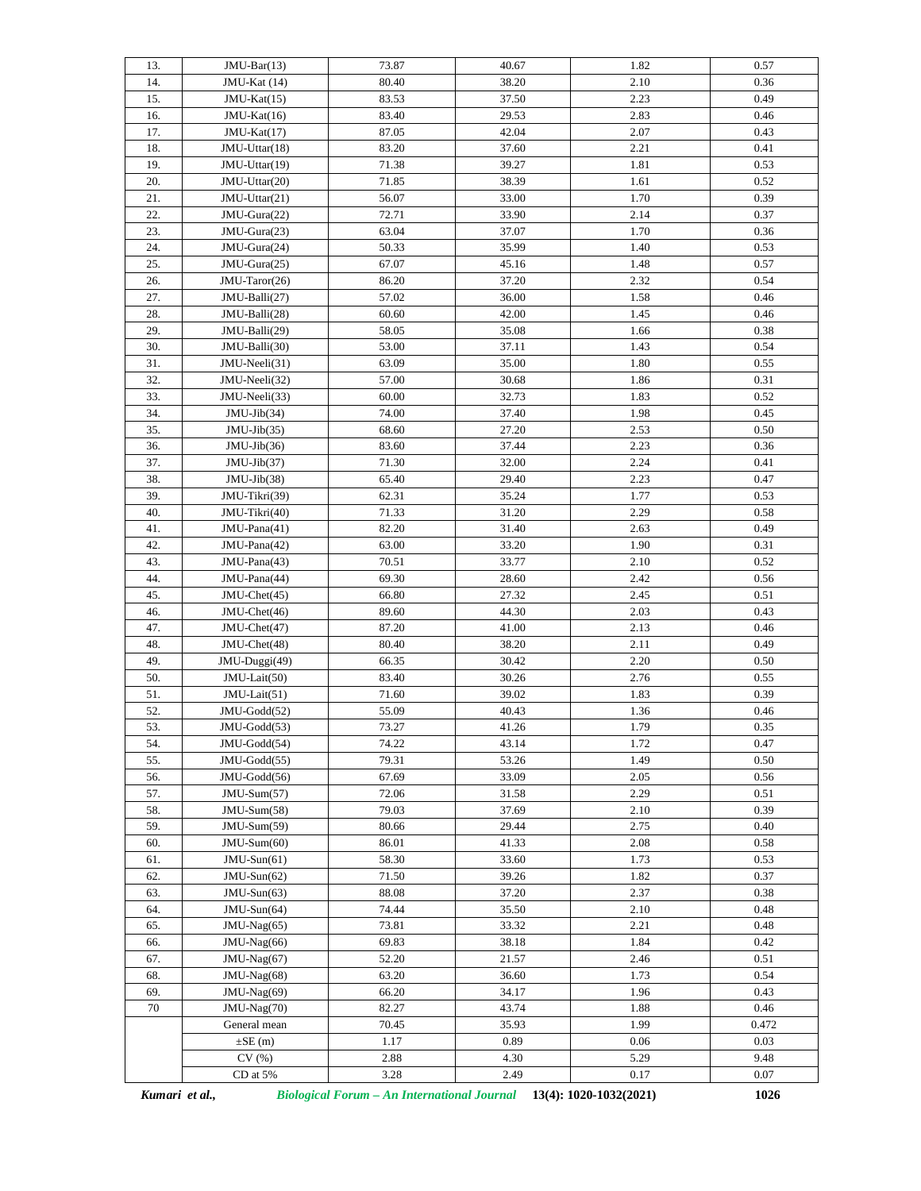| 13. | $JMU-Bar(13)$  | 73.87 | 40.67 | 1.82 | 0.57  |
|-----|----------------|-------|-------|------|-------|
| 14. | JMU-Kat (14)   | 80.40 | 38.20 | 2.10 | 0.36  |
| 15. | $JMU-Kat(15)$  | 83.53 | 37.50 | 2.23 | 0.49  |
| 16. | JMU-Kat(16)    | 83.40 | 29.53 | 2.83 | 0.46  |
| 17. | $JMU-Kat(17)$  | 87.05 | 42.04 | 2.07 | 0.43  |
| 18. | JMU-Uttar(18)  | 83.20 | 37.60 | 2.21 | 0.41  |
| 19. | JMU-Uttar(19)  | 71.38 | 39.27 | 1.81 | 0.53  |
| 20. | JMU-Uttar(20)  | 71.85 | 38.39 | 1.61 | 0.52  |
| 21. | JMU-Uttar(21)  | 56.07 | 33.00 | 1.70 | 0.39  |
| 22. | JMU-Gura(22)   | 72.71 | 33.90 | 2.14 | 0.37  |
| 23. | JMU-Gura(23)   | 63.04 | 37.07 | 1.70 | 0.36  |
| 24. | JMU-Gura(24)   | 50.33 | 35.99 | 1.40 | 0.53  |
| 25. | JMU-Gura(25)   | 67.07 | 45.16 | 1.48 | 0.57  |
| 26. | JMU-Taror(26)  | 86.20 | 37.20 | 2.32 | 0.54  |
| 27. | JMU-Balli(27)  | 57.02 | 36.00 | 1.58 | 0.46  |
| 28. | JMU-Balli(28)  | 60.60 | 42.00 | 1.45 | 0.46  |
| 29. | JMU-Balli(29)  | 58.05 | 35.08 | 1.66 | 0.38  |
| 30. | JMU-Balli(30)  | 53.00 | 37.11 | 1.43 | 0.54  |
| 31. | JMU-Neeli(31)  | 63.09 | 35.00 | 1.80 | 0.55  |
| 32. | JMU-Neeli(32)  | 57.00 | 30.68 | 1.86 | 0.31  |
| 33. | JMU-Neeli(33)  | 60.00 | 32.73 | 1.83 | 0.52  |
| 34. | $JMU-Jib(34)$  | 74.00 | 37.40 | 1.98 | 0.45  |
| 35. | $JMU-Jib(35)$  | 68.60 | 27.20 | 2.53 | 0.50  |
| 36. | $JMU-Jib(36)$  | 83.60 | 37.44 | 2.23 | 0.36  |
| 37. | $JMU-Jib(37)$  | 71.30 | 32.00 | 2.24 | 0.41  |
| 38. | $JMU-Jib(38)$  | 65.40 | 29.40 | 2.23 | 0.47  |
| 39. | JMU-Tikri(39)  | 62.31 | 35.24 | 1.77 | 0.53  |
| 40. | JMU-Tikri(40)  | 71.33 | 31.20 | 2.29 | 0.58  |
| 41. | JMU-Pana(41)   | 82.20 | 31.40 | 2.63 | 0.49  |
| 42. | JMU-Pana(42)   | 63.00 | 33.20 | 1.90 | 0.31  |
| 43. | JMU-Pana(43)   | 70.51 | 33.77 | 2.10 | 0.52  |
| 44. | JMU-Pana(44)   | 69.30 | 28.60 | 2.42 | 0.56  |
| 45. | JMU-Chet(45)   | 66.80 | 27.32 | 2.45 | 0.51  |
| 46. | JMU-Chet(46)   | 89.60 | 44.30 | 2.03 | 0.43  |
| 47. | JMU-Chet(47)   | 87.20 | 41.00 | 2.13 | 0.46  |
| 48. | JMU-Chet(48)   | 80.40 | 38.20 | 2.11 | 0.49  |
| 49. | JMU-Duggi(49)  | 66.35 | 30.42 | 2.20 | 0.50  |
| 50. | JMU-Lait(50)   | 83.40 | 30.26 | 2.76 | 0.55  |
| 51. | JMU-Lait(51)   | 71.60 | 39.02 | 1.83 | 0.39  |
| 52. | JMU-Godd(52)   | 55.09 | 40.43 | 1.36 | 0.46  |
| 53. | JMU-Godd(53)   | 73.27 | 41.26 | 1.79 | 0.35  |
| 54. | JMU-Godd(54)   | 74.22 | 43.14 | 1.72 | 0.47  |
| 55. | JMU-Godd(55)   | 79.31 | 53.26 | 1.49 | 0.50  |
| 56. | JMU-Godd(56)   | 67.69 | 33.09 | 2.05 | 0.56  |
| 57. | $JMU-Sum(57)$  | 72.06 | 31.58 | 2.29 | 0.51  |
| 58. | $JMU-Sum(58)$  | 79.03 | 37.69 | 2.10 | 0.39  |
| 59. | JMU-Sum(59)    | 80.66 | 29.44 | 2.75 | 0.40  |
| 60. | $JMU-Sum(60)$  | 86.01 | 41.33 | 2.08 | 0.58  |
| 61. | $JMU-Sun(61)$  | 58.30 | 33.60 | 1.73 | 0.53  |
| 62. | $JMU-Sun(62)$  | 71.50 | 39.26 | 1.82 | 0.37  |
| 63. | $JMU-Sun(63)$  | 88.08 | 37.20 | 2.37 | 0.38  |
| 64. | $JMU-Sun(64)$  | 74.44 | 35.50 | 2.10 | 0.48  |
| 65. | JMU-Nag(65)    | 73.81 | 33.32 | 2.21 | 0.48  |
| 66. | JMU-Nag(66)    | 69.83 | 38.18 | 1.84 | 0.42  |
| 67. | JMU-Nag(67)    | 52.20 | 21.57 | 2.46 | 0.51  |
| 68. | JMU-Nag(68)    | 63.20 | 36.60 | 1.73 | 0.54  |
| 69. | JMU-Nag(69)    | 66.20 | 34.17 | 1.96 | 0.43  |
| 70  | JMU-Nag(70)    | 82.27 | 43.74 | 1.88 | 0.46  |
|     | General mean   | 70.45 | 35.93 | 1.99 | 0.472 |
|     | $\pm$ SE $(m)$ | 1.17  | 0.89  | 0.06 | 0.03  |
|     | CV(%)          | 2.88  | 4.30  | 5.29 | 9.48  |
|     | CD at 5%       | 3.28  | 2.49  | 0.17 | 0.07  |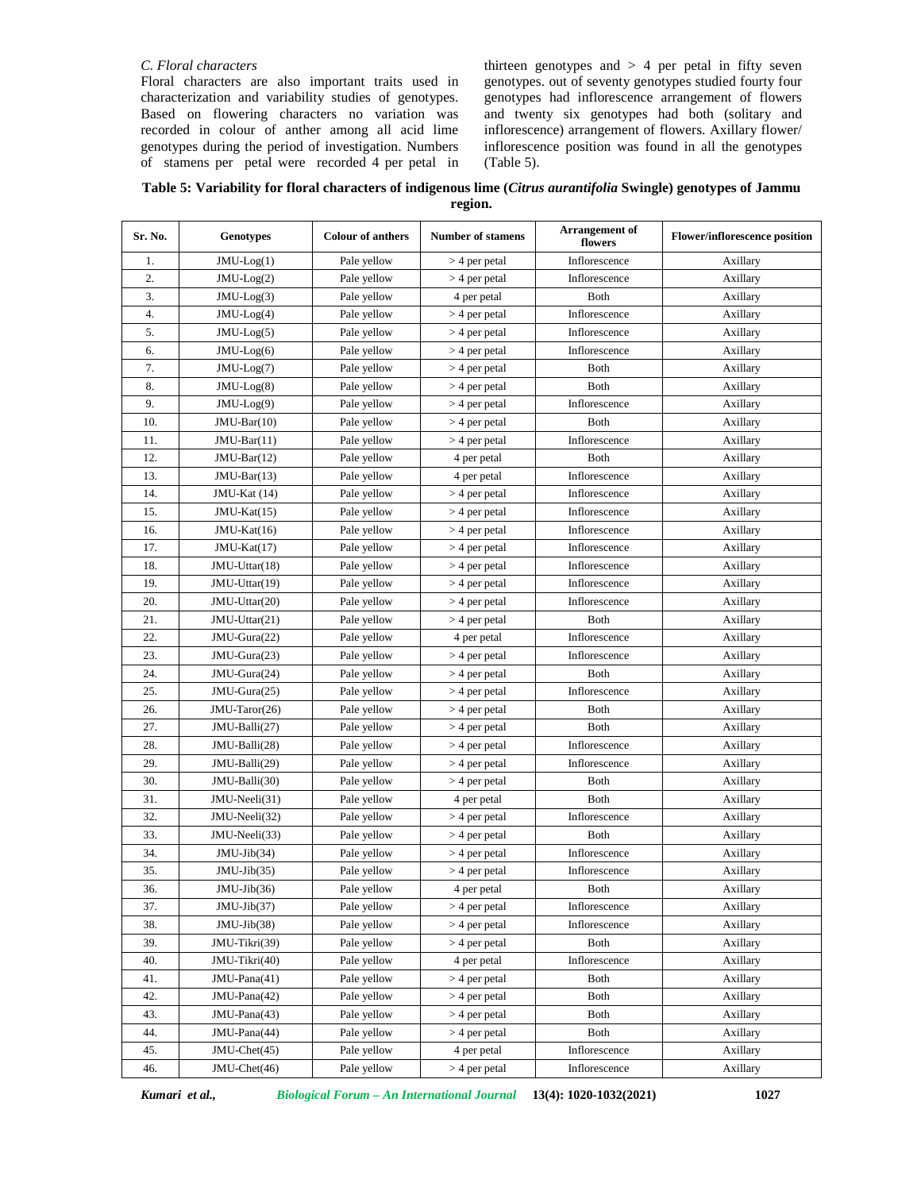# *C. Floral characters*

Floral characters are also important traits used in characterization and variability studies of genotypes. Based on flowering characters no variation was recorded in colour of anther among all acid lime genotypes during the period of investigation. Numbers of stamens per petal were recorded 4 per petal in thirteen genotypes and  $> 4$  per petal in fifty seven genotypes. out of seventy genotypes studied fourty four genotypes had inflorescence arrangement of flowers and twenty six genotypes had both (solitary and inflorescence) arrangement of flowers. Axillary flower/ inflorescence position was found in all the genotypes (Table 5).

**Table 5: Variability for floral characters of indigenous lime (***Citrus aurantifolia* **Swingle) genotypes of Jammu region.**

| Sr. No. | <b>Genotypes</b> | <b>Colour of anthers</b> | <b>Number of stamens</b> | Arrangement of<br>flowers | <b>Flower/inflorescence position</b> |
|---------|------------------|--------------------------|--------------------------|---------------------------|--------------------------------------|
| 1.      | $JMU-Log(1)$     | Pale yellow              | $>$ 4 per petal          | Inflorescence             | Axillary                             |
| 2.      | $JMU-Log(2)$     | Pale yellow              | $>$ 4 per petal          | Inflorescence             | Axillary                             |
| 3.      | $JMU-Log(3)$     | Pale yellow              | 4 per petal              | Both                      | Axillary                             |
| 4.      | $JMU-Log(4)$     | Pale yellow              | $>$ 4 per petal          | Inflorescence             | Axillary                             |
| 5.      | $JMU-Log(5)$     | Pale yellow              | $>$ 4 per petal          | Inflorescence             | Axillary                             |
| 6.      | $JMU-Log(6)$     | Pale yellow              | $>$ 4 per petal          | Inflorescence             | Axillary                             |
| 7.      | $JMU-Log(7)$     | Pale yellow              | $>$ 4 per petal          | Both                      | Axillary                             |
| 8.      | $JMU-Log(8)$     | Pale yellow              | $>$ 4 per petal          | Both                      | Axillary                             |
| 9.      | $JMU-Log(9)$     | Pale yellow              | $>$ 4 per petal          | Inflorescence             | Axillary                             |
| 10.     | $JMU-Bar(10)$    | Pale yellow              | $>$ 4 per petal          | <b>B</b> oth              | Axillary                             |
| 11.     | $JMU-Bar(11)$    | Pale yellow              | $>$ 4 per petal          | Inflorescence             | Axillary                             |
| 12.     | $JMU-Bar(12)$    | Pale yellow              | 4 per petal              | <b>B</b> oth              | Axillary                             |
| 13.     | $JMU-Bar(13)$    | Pale yellow              | 4 per petal              | Inflorescence             | Axillary                             |
| 14.     | JMU-Kat (14)     | Pale yellow              | $>$ 4 per petal          | Inflorescence             | Axillary                             |
| 15.     | JMU-Kat(15)      | Pale yellow              | $>$ 4 per petal          | Inflorescence             | Axillary                             |
| 16.     | $JMU-Kat(16)$    | Pale yellow              | $>$ 4 per petal          | Inflorescence             | Axillary                             |
| 17.     | JMU-Kat(17)      | Pale yellow              | $>$ 4 per petal          | Inflorescence             | Axillary                             |
| 18.     | JMU-Uttar(18)    | Pale yellow              | $>$ 4 per petal          | Inflorescence             | Axillary                             |
| 19.     | JMU-Uttar(19)    | Pale yellow              | $>$ 4 per petal          | Inflorescence             | Axillary                             |
| 20.     | JMU-Uttar(20)    | Pale yellow              | $>$ 4 per petal          | Inflorescence             | Axillary                             |
| 21.     | JMU-Uttar(21)    | Pale yellow              | $>$ 4 per petal          | Both                      | Axillary                             |
| 22.     | JMU-Gura(22)     | Pale yellow              | 4 per petal              | Inflorescence             | Axillary                             |
| 23.     | JMU-Gura(23)     | Pale yellow              | $>$ 4 per petal          | Inflorescence             | Axillary                             |
| 24.     | JMU-Gura(24)     | Pale yellow              | $>$ 4 per petal          | <b>B</b> oth              | Axillary                             |
| 25.     | JMU-Gura(25)     | Pale yellow              | $>$ 4 per petal          | Inflorescence             | Axillary                             |
| 26.     | JMU-Taror(26)    | Pale yellow              | $>$ 4 per petal          | <b>B</b> oth              | Axillary                             |
| 27.     | JMU-Balli(27)    | Pale yellow              | $>$ 4 per petal          | Both                      | Axillary                             |
| 28.     | JMU-Balli(28)    | Pale yellow              | $>$ 4 per petal          | Inflorescence             | Axillary                             |
| 29.     | JMU-Balli(29)    | Pale yellow              | $>$ 4 per petal          | Inflorescence             | Axillary                             |
| 30.     | JMU-Balli(30)    | Pale yellow              | $>$ 4 per petal          | <b>B</b> oth              | Axillary                             |
| 31.     | JMU-Neeli(31)    | Pale yellow              | 4 per petal              | Both                      | Axillary                             |
| 32.     | JMU-Neeli(32)    | Pale yellow              | $>$ 4 per petal          | Inflorescence             | Axillary                             |
| 33.     | JMU-Neeli(33)    | Pale yellow              | $>$ 4 per petal          | Both                      | Axillary                             |
| 34.     | $JMU-Jib(34)$    | Pale yellow              | $>$ 4 per petal          | Inflorescence             | Axillary                             |
| 35.     | $JMU-Jib(35)$    | Pale yellow              | $>$ 4 per petal          | Inflorescence             | Axillary                             |
| 36.     | $JMU-Jib(36)$    | Pale yellow              | 4 per petal              | Both                      | Axillary                             |
| 37.     | $JMU-Jib(37)$    | Pale yellow              | $>$ 4 per petal          | Inflorescence             | Axillary                             |
| 38.     | $JMU-Jib(38)$    | Pale yellow              | $>$ 4 per petal          | Inflorescence             | Axillary                             |
| 39.     | JMU-Tikri(39)    | Pale yellow              | $>$ 4 per petal          | Both                      | Axillary                             |
| 40.     | JMU-Tikri(40)    | Pale yellow              | 4 per petal              | Inflorescence             | Axillary                             |
| 41.     | $JMU-Pana(41)$   | Pale yellow              | $>$ 4 per petal          | Both                      | Axillary                             |
| 42.     | $JMU-Pana(42)$   | Pale yellow              | $>$ 4 per petal          | Both                      | Axillary                             |
| 43.     | JMU-Pana(43)     | Pale yellow              | $>$ 4 per petal          | Both                      | Axillary                             |
| 44.     | JMU-Pana(44)     | Pale yellow              | $>$ 4 per petal          | Both                      | Axillary                             |
| 45.     | JMU-Chet(45)     | Pale yellow              | 4 per petal              | Inflorescence             | Axillary                             |
| 46.     | JMU-Chet(46)     | Pale yellow              | $>$ 4 per petal          | Inflorescence             | Axillary                             |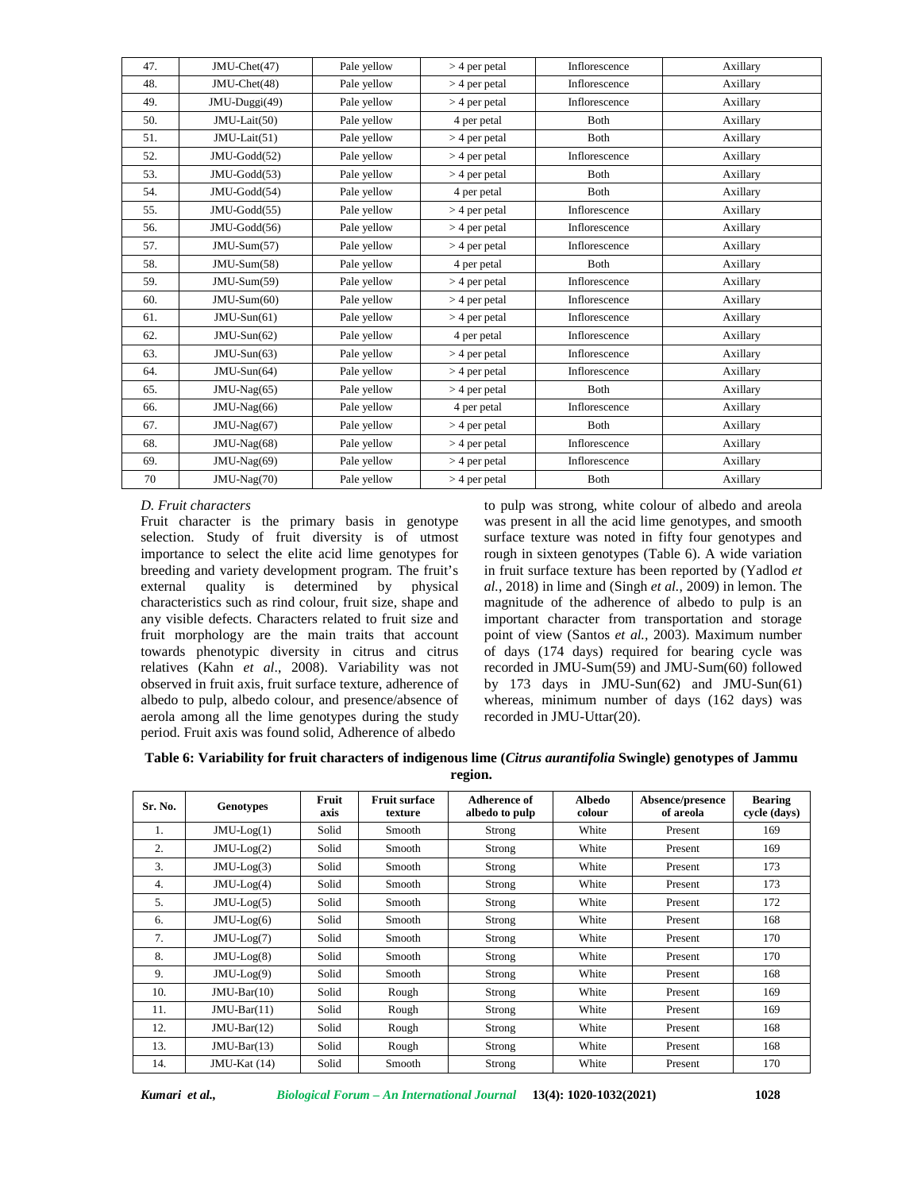| 47. | JMU-Chet(47)   | Pale yellow | $>$ 4 per petal | Inflorescence | Axillary |
|-----|----------------|-------------|-----------------|---------------|----------|
| 48. | JMU-Chet(48)   | Pale yellow | $>$ 4 per petal | Inflorescence | Axillary |
| 49. | JMU-Duggi(49)  | Pale yellow | $>$ 4 per petal | Inflorescence | Axillary |
| 50. | JMU-Lait(50)   | Pale yellow | 4 per petal     | <b>B</b> oth  | Axillary |
| 51. | $JMU-Lait(51)$ | Pale yellow | $>$ 4 per petal | Both          | Axillary |
| 52. | JMU-Godd(52)   | Pale yellow | $>$ 4 per petal | Inflorescence | Axillary |
| 53. | JMU-Godd(53)   | Pale yellow | $>$ 4 per petal | <b>B</b> oth  | Axillary |
| 54. | JMU-Godd(54)   | Pale yellow | 4 per petal     | Both          | Axillary |
| 55. | JMU-Godd(55)   | Pale yellow | $>$ 4 per petal | Inflorescence | Axillary |
| 56. | JMU-Godd(56)   | Pale yellow | $>$ 4 per petal | Inflorescence | Axillary |
| 57. | $JMU-Sum(57)$  | Pale yellow | $>$ 4 per petal | Inflorescence | Axillary |
| 58. | JMU-Sum(58)    | Pale yellow | 4 per petal     | Both          | Axillary |
| 59. | $JMU-Sum(59)$  | Pale yellow | $>$ 4 per petal | Inflorescence | Axillary |
| 60. | $JMU-Sum(60)$  | Pale yellow | $>$ 4 per petal | Inflorescence | Axillary |
| 61. | $JMU-Sun(61)$  | Pale yellow | $>$ 4 per petal | Inflorescence | Axillary |
| 62. | $JMU-Sun(62)$  | Pale yellow | 4 per petal     | Inflorescence | Axillary |
| 63. | $JMU-Sun(63)$  | Pale yellow | $>$ 4 per petal | Inflorescence | Axillary |
| 64. | $JMU-Sun(64)$  | Pale yellow | $>$ 4 per petal | Inflorescence | Axillary |
| 65. | $JMU-Nag(65)$  | Pale yellow | $>$ 4 per petal | Both          | Axillary |
| 66. | $JMU-Nag(66)$  | Pale yellow | 4 per petal     | Inflorescence | Axillary |
| 67. | $JMU-Nag(67)$  | Pale yellow | $>$ 4 per petal | <b>B</b> oth  | Axillary |
| 68. | $JMU-Nag(68)$  | Pale yellow | $>$ 4 per petal | Inflorescence | Axillary |
| 69. | JMU-Nag(69)    | Pale yellow | $>$ 4 per petal | Inflorescence | Axillary |
| 70  | JMU-Nag(70)    | Pale yellow | $>$ 4 per petal | Both          | Axillary |

# *D. Fruit characters*

Fruit character is the primary basis in genotype selection. Study of fruit diversity is of utmost importance to select the elite acid lime genotypes for breeding and variety development program. The fruit's external quality is determined by physical characteristics such as rind colour, fruit size, shape and any visible defects. Characters related to fruit size and fruit morphology are the main traits that account towards phenotypic diversity in citrus and citrus relatives (Kahn *et al*., 2008). Variability was not observed in fruit axis, fruit surface texture, adherence of albedo to pulp, albedo colour, and presence/absence of aerola among all the lime genotypes during the study period. Fruit axis was found solid, Adherence of albedo

to pulp was strong, white colour of albedo and areola was present in all the acid lime genotypes, and smooth surface texture was noted in fifty four genotypes and rough in sixteen genotypes (Table 6). A wide variation in fruit surface texture has been reported by (Yadlod *et al.*, 2018) in lime and (Singh *et al.*, 2009) in lemon. The magnitude of the adherence of albedo to pulp is an important character from transportation and storage point of view (Santos *et al.,* 2003). Maximum number of days (174 days) required for bearing cycle was recorded in JMU-Sum(59) and JMU-Sum(60) followed by 173 days in JMU-Sun(62) and JMU-Sun(61) whereas, minimum number of days (162 days) was recorded in JMU-Uttar(20).

| Table 6: Variability for fruit characters of indigenous lime (Citrus aurantifolia Swingle) genotypes of Jammu |  |
|---------------------------------------------------------------------------------------------------------------|--|
| region.                                                                                                       |  |

| Sr. No. | <b>Genotypes</b> | Fruit<br>axis | <b>Fruit surface</b><br>texture | Adherence of<br>albedo to pulp | Albedo<br>colour | Absence/presence<br>of areola | <b>Bearing</b><br>cycle (days) |
|---------|------------------|---------------|---------------------------------|--------------------------------|------------------|-------------------------------|--------------------------------|
| 1.      | $JMU-Log(1)$     | Solid         | Smooth                          | Strong                         | White            | Present                       | 169                            |
| 2.      | $JMU-Log(2)$     | Solid         | Smooth                          | Strong                         | White            | Present                       | 169                            |
| 3.      | $JMU-Log(3)$     | Solid         | Smooth                          | Strong                         | White            | Present                       | 173                            |
| 4.      | $JMU-Log(4)$     | Solid         | Smooth                          | Strong                         | White            | Present                       | 173                            |
| 5.      | $JMU-Log(5)$     | Solid         | Smooth                          | Strong                         | White            | Present                       | 172                            |
| 6.      | $JMU-Log(6)$     | Solid         | Smooth                          | Strong                         | White            | Present                       | 168                            |
| 7.      | $JMU-Log(7)$     | Solid         | Smooth                          | Strong                         | White            | Present                       | 170                            |
| 8.      | $JMU-Log(8)$     | Solid         | Smooth                          | Strong                         | White            | Present                       | 170                            |
| 9.      | $JMU-Log(9)$     | Solid         | Smooth                          | Strong                         | White            | Present                       | 168                            |
| 10.     | $JMU-Bar(10)$    | Solid         | Rough                           | Strong                         | White            | Present                       | 169                            |
| 11.     | $JMU-Bar(11)$    | Solid         | Rough                           | Strong                         | White            | Present                       | 169                            |
| 12.     | $JMU-Bar(12)$    | Solid         | Rough                           | Strong                         | White            | Present                       | 168                            |
| 13.     | $JMU-Bar(13)$    | Solid         | Rough                           | Strong                         | White            | Present                       | 168                            |
| 14.     | JMU-Kat (14)     | Solid         | Smooth                          | Strong                         | White            | Present                       | 170                            |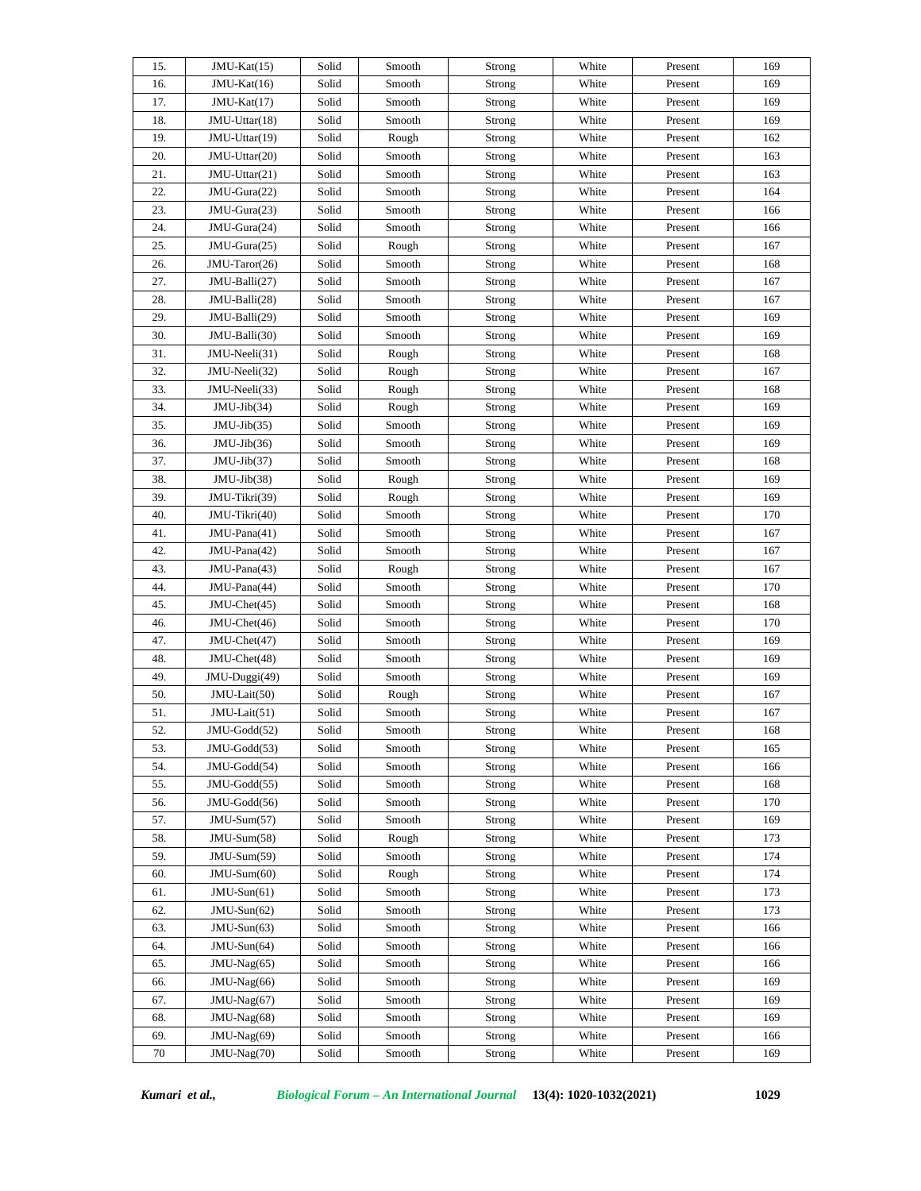| 15. | JMU-Kat(15)    | Solid | Smooth | Strong        | White | Present | 169 |
|-----|----------------|-------|--------|---------------|-------|---------|-----|
| 16. | JMU-Kat(16)    | Solid | Smooth | Strong        | White | Present | 169 |
| 17. | $JMU-Kat(17)$  | Solid | Smooth | Strong        | White | Present | 169 |
| 18. | JMU-Uttar(18)  | Solid | Smooth | Strong        | White | Present | 169 |
| 19. | JMU-Uttar(19)  | Solid | Rough  | Strong        | White | Present | 162 |
| 20. | JMU-Uttar(20)  | Solid | Smooth | Strong        | White | Present | 163 |
| 21. | JMU-Uttar(21)  | Solid | Smooth | Strong        | White | Present | 163 |
| 22. | JMU-Gura(22)   | Solid | Smooth | Strong        | White | Present | 164 |
| 23. | JMU-Gura(23)   | Solid | Smooth | Strong        | White | Present | 166 |
| 24. | JMU-Gura(24)   | Solid | Smooth | Strong        | White | Present | 166 |
| 25. | JMU-Gura(25)   | Solid | Rough  | Strong        | White | Present | 167 |
| 26. | JMU-Taror(26)  | Solid | Smooth | Strong        | White | Present | 168 |
| 27. | JMU-Balli(27)  | Solid | Smooth | Strong        | White | Present | 167 |
| 28. | JMU-Balli(28)  | Solid | Smooth | Strong        | White | Present | 167 |
| 29. | JMU-Balli(29)  | Solid | Smooth | Strong        | White | Present | 169 |
| 30. | JMU-Balli(30)  | Solid |        |               | White |         | 169 |
|     |                |       | Smooth | Strong        |       | Present |     |
| 31. | JMU-Neeli(31)  | Solid | Rough  | Strong        | White | Present | 168 |
| 32. | JMU-Neeli(32)  | Solid | Rough  | Strong        | White | Present | 167 |
| 33. | JMU-Neeli(33)  | Solid | Rough  | Strong        | White | Present | 168 |
| 34. | $JMU-Jib(34)$  | Solid | Rough  | Strong        | White | Present | 169 |
| 35. | $JMU-Jib(35)$  | Solid | Smooth | Strong        | White | Present | 169 |
| 36. | $JMU-Jib(36)$  | Solid | Smooth | Strong        | White | Present | 169 |
| 37. | $JMU-Jib(37)$  | Solid | Smooth | Strong        | White | Present | 168 |
| 38. | $JMU-Jib(38)$  | Solid | Rough  | Strong        | White | Present | 169 |
| 39. | JMU-Tikri(39)  | Solid | Rough  | Strong        | White | Present | 169 |
| 40. | JMU-Tikri(40)  | Solid | Smooth | Strong        | White | Present | 170 |
| 41. | JMU-Pana(41)   | Solid | Smooth | Strong        | White | Present | 167 |
| 42. | JMU-Pana(42)   | Solid | Smooth | Strong        | White | Present | 167 |
| 43. | JMU-Pana(43)   | Solid | Rough  | Strong        | White | Present | 167 |
| 44. | JMU-Pana(44)   | Solid | Smooth | Strong        | White | Present | 170 |
| 45. | $JMU-Chet(45)$ | Solid | Smooth | Strong        | White | Present | 168 |
| 46. | JMU-Chet(46)   | Solid | Smooth | Strong        | White | Present | 170 |
| 47. | $JMU-Chet(47)$ | Solid | Smooth | Strong        | White | Present | 169 |
| 48. | JMU-Chet(48)   | Solid | Smooth | Strong        | White | Present | 169 |
| 49. | JMU-Duggi(49)  | Solid | Smooth | Strong        | White | Present | 169 |
| 50. | JMU-Lait(50)   | Solid | Rough  | Strong        | White | Present | 167 |
| 51. | JMU-Lait(51)   | Solid | Smooth | Strong        | White | Present | 167 |
| 52. | JMU-Godd(52)   | Solid | Smooth | Strong        | White | Present | 168 |
| 53. | JMU-Godd(53)   | Solid | Smooth | <b>Strong</b> | White | Present | 165 |
| 54. | JMU-Godd(54)   | Solid | Smooth | <b>Strong</b> | White | Present | 166 |
| 55. | JMU-Godd(55)   | Solid | Smooth | <b>Strong</b> | White | Present | 168 |
| 56. | JMU-Godd(56)   | Solid | Smooth | <b>Strong</b> | White | Present | 170 |
| 57. | $JMU-Sum(57)$  | Solid | Smooth | <b>Strong</b> | White | Present | 169 |
| 58. | JMU-Sum(58)    | Solid | Rough  | <b>Strong</b> | White | Present | 173 |
| 59. | JMU-Sum(59)    | Solid | Smooth | Strong        | White | Present | 174 |
| 60. | $JMU-Sum(60)$  | Solid | Rough  | Strong        | White | Present | 174 |
| 61. | $JMU-Sun(61)$  | Solid | Smooth | <b>Strong</b> | White | Present | 173 |
| 62. | $JMU-Sun(62)$  | Solid | Smooth | <b>Strong</b> | White | Present | 173 |
| 63. | $JMU-Sun(63)$  | Solid | Smooth | <b>Strong</b> | White | Present | 166 |
| 64. | $JMU-Sun(64)$  | Solid | Smooth | <b>Strong</b> | White | Present | 166 |
| 65. | $JMU-Nag(65)$  | Solid | Smooth | <b>Strong</b> | White | Present | 166 |
| 66. | JMU-Nag(66)    | Solid | Smooth | <b>Strong</b> | White | Present | 169 |
| 67. | JMU-Nag(67)    | Solid | Smooth | <b>Strong</b> | White | Present | 169 |
| 68. | JMU-Nag(68)    | Solid | Smooth | <b>Strong</b> | White | Present | 169 |
| 69. | JMU-Nag(69)    | Solid | Smooth | <b>Strong</b> | White | Present | 166 |
| 70  | $JMU-Nag(70)$  | Solid | Smooth | <b>Strong</b> | White | Present | 169 |
|     |                |       |        |               |       |         |     |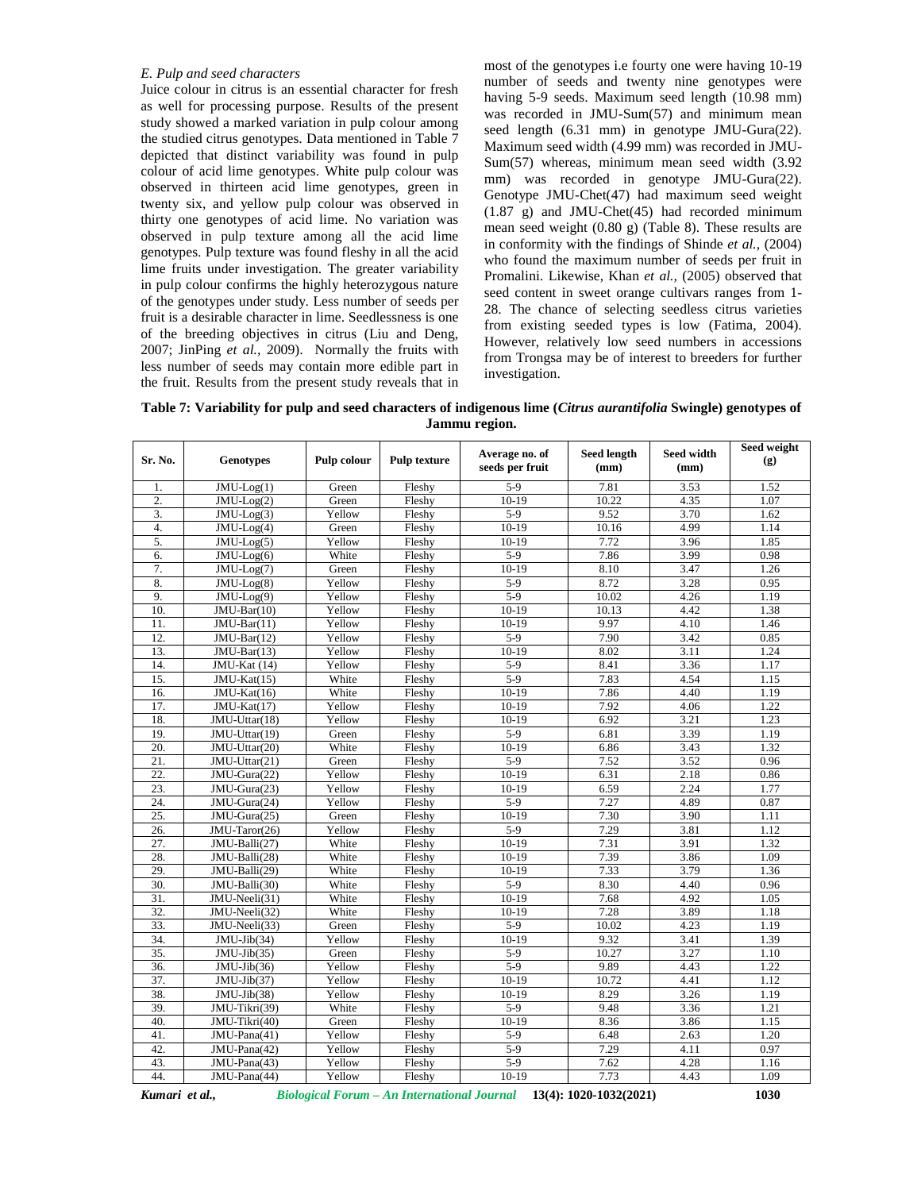### *E. Pulp and seed characters*

Juice colour in citrus is an essential character for fresh as well for processing purpose. Results of the present study showed a marked variation in pulp colour among the studied citrus genotypes. Data mentioned in Table 7 depicted that distinct variability was found in pulp colour of acid lime genotypes. White pulp colour was observed in thirteen acid lime genotypes, green in twenty six, and yellow pulp colour was observed in thirty one genotypes of acid lime. No variation was observed in pulp texture among all the acid lime genotypes. Pulp texture was found fleshy in all the acid lime fruits under investigation. The greater variability in pulp colour confirms the highly heterozygous nature of the genotypes under study. Less number of seeds per fruit is a desirable character in lime. Seedlessness is one of the breeding objectives in citrus (Liu and Deng, 2007; JinPing *et al.,* 2009). Normally the fruits with less number of seeds may contain more edible part in the fruit. Results from the present study reveals that in most of the genotypes i.e fourty one were having 10-19 number of seeds and twenty nine genotypes were having 5-9 seeds. Maximum seed length (10.98 mm) was recorded in JMU-Sum(57) and minimum mean seed length (6.31 mm) in genotype JMU-Gura(22). Maximum seed width (4.99 mm) was recorded in JMU- Sum(57) whereas, minimum mean seed width (3.92 mm) was recorded in genotype JMU-Gura(22). Genotype JMU-Chet(47) had maximum seed weight (1.87 g) and JMU-Chet(45) had recorded minimum mean seed weight (0.80 g) (Table 8). These results are in conformity with the findings of Shinde *et al.,* (2004) who found the maximum number of seeds per fruit in Promalini. Likewise, Khan *et al.,* (2005) observed that seed content in sweet orange cultivars ranges from 1- 28. The chance of selecting seedless citrus varieties from existing seeded types is low (Fatima, 2004). However, relatively low seed numbers in accessions from Trongsa may be of interest to breeders for further investigation.

**Table 7: Variability for pulp and seed characters of indigenous lime (***Citrus aurantifolia* **Swingle) genotypes of Jammu region.**

| Sr. No.          | Genotypes                      | Pulp colour | <b>Pulp texture</b> | Average no. of<br>seeds per fruit | <b>Seed length</b><br>(mm) | Seed width<br>(mm) | Seed weight<br>$\left( \mathbf{g} \right)$ |
|------------------|--------------------------------|-------------|---------------------|-----------------------------------|----------------------------|--------------------|--------------------------------------------|
| 1.               | $\overline{J}MU$ -Log(1)       | Green       | Fleshy              | $5-9$                             | 7.81                       | 3.53               | 1.52                                       |
| $\overline{2}$ . | $JMU-Log(2)$                   | Green       | Fleshy              | $10-19$                           | 10.22                      | 4.35               | 1.07                                       |
| 3.               | $JMU-Log(3)$                   | Yellow      | Fleshy              | $5-9$                             | 9.52                       | 3.70               | 1.62                                       |
| $\overline{4}$ . | $JMU-Log(4)$                   | Green       | Fleshy              | $10-19$                           | 10.16                      | 4.99               | 1.14                                       |
| 5.               | $JMU-Log(5)$                   | Yellow      | Fleshy              | $10-19$                           | 7.72                       | 3.96               | 1.85                                       |
| 6.               | $JMU-Log(6)$                   | White       | Fleshy              | $5-9$                             | 7.86                       | 3.99               | 0.98                                       |
| 7.               | $JMU-Log(7)$                   | Green       | Fleshy              | $10-19$                           | 8.10                       | 3.47               | 1.26                                       |
| 8.               | $JMU-Log(8)$                   | Yellow      | Fleshy              | $5-9$                             | 8.72                       | 3.28               | 0.95                                       |
| 9.               | $JMU-Log(9)$                   | Yellow      | Fleshy              | $5-9$                             | 10.02                      | 4.26               | 1.19                                       |
| 10.              | $JMU-Bar(10)$                  | Yellow      | Fleshy              | $10-19$                           | 10.13                      | 4.42               | 1.38                                       |
| 11.              | $JMU-Bar(11)$                  | Yellow      | Fleshy              | $10-19$                           | 9.97                       | 4.10               | 1.46                                       |
| 12.              | $JMU-Bar(12)$                  | Yellow      | Fleshy              | $5-9$                             | 7.90                       | 3.42               | 0.85                                       |
| 13.              | $JMU-Bar(13)$                  | Yellow      | Fleshy              | $10-19$                           | 8.02                       | 3.11               | 1.24                                       |
| 14.              | JMU-Kat (14)                   | Yellow      | Fleshy              | $5-9$                             | 8.41                       | 3.36               | 1.17                                       |
| 15.              | JMU-Kat(15)                    | White       | Fleshy              | $5-9$                             | 7.83                       | 4.54               | 1.15                                       |
| 16.              | $JMU-Kat(16)$                  | White       | Fleshy              | $10-19$                           | 7.86                       | 4.40               | 1.19                                       |
| 17.              | JMU-Kat(17)                    | Yellow      | Fleshy              | $10-19$                           | 7.92                       | 4.06               | 1.22                                       |
| 18.              | $\overline{JMU}$ -Uttar $(18)$ | Yellow      | Fleshy              | $10-19$                           | 6.92                       | 3.21               | 1.23                                       |
| 19.              | JMU-Uttar(19)                  | Green       | Fleshy              | $5-9$                             | 6.81                       | 3.39               | 1.19                                       |
| 20.              | JMU-Uttar(20)                  | White       | Fleshy              | $10-19$                           | 6.86                       | 3.43               | 1.32                                       |
| 21.              | JMU-Uttar(21)                  | Green       | Fleshy              | $5-9$                             | 7.52                       | 3.52               | 0.96                                       |
| $\overline{22}$  | JMU-Gura(22)                   | Yellow      | Fleshy              | $10-19$                           | 6.31                       | 2.18               | 0.86                                       |
| 23.              | JMU-Gura(23)                   | Yellow      | Fleshy              | $10-19$                           | 6.59                       | 2.24               | 1.77                                       |
| 24.              | $\overline{JMU}$ -Gura $(24)$  | Yellow      | Fleshy              | $5-9$                             | 7.27                       | 4.89               | 0.87                                       |
| 25.              | JMU-Gura(25)                   | Green       | Fleshy              | $10-19$                           | 7.30                       | 3.90               | 1.11                                       |
| 26.              | JMU-Taror(26)                  | Yellow      | Fleshy              | $5-9$                             | 7.29                       | 3.81               | 1.12                                       |
| 27.              | JMU-Balli(27)                  | White       | Fleshy              | $10-19$                           | 7.31                       | 3.91               | 1.32                                       |
| 28.              | JMU-Balli(28)                  | White       | Fleshy              | $10-19$                           | 7.39                       | 3.86               | 1.09                                       |
| 29.              | JMU-Balli(29)                  | White       | Fleshy              | $10-19$                           | 7.33                       | 3.79               | 1.36                                       |
| 30.              | JMU-Balli(30)                  | White       | Fleshy              | $5-9$                             | 8.30                       | 4.40               | 0.96                                       |
| 31.              | JMU-Neeli(31)                  | White       | Fleshy              | $10-19$                           | 7.68                       | 4.92               | 1.05                                       |
| 32.              | JMU-Neeli(32)                  | White       | Fleshy              | $10-19$                           | 7.28                       | 3.89               | 1.18                                       |
| 33.              | JMU-Neeli(33)                  | Green       | Fleshy              | $5-9$                             | 10.02                      | 4.23               | 1.19                                       |
| 34.              | $JMU-Jib(34)$                  | Yellow      | Fleshy              | $10-19$                           | 9.32                       | 3.41               | 1.39                                       |
| 35.              | $JMU-Jib(35)$                  | Green       | Fleshy              | $5-9$                             | 10.27                      | 3.27               | 1.10                                       |
| 36.              | $JMU-Jib(36)$                  | Yellow      | Fleshy              | $5-9$                             | 9.89                       | 4.43               | 1.22                                       |
| 37.              | $JMU-Jib(37)$                  | Yellow      | Fleshy              | $10-19$                           | 10.72                      | 4.41               | 1.12                                       |
| 38.              | JMU-Jib(38)                    | Yellow      | Fleshy              | $10-19$                           | 8.29                       | 3.26               | 1.19                                       |
| 39.              | JMU-Tikri(39)                  | White       | Fleshy              | $5-9$                             | 9.48                       | 3.36               | 1.21                                       |
| 40.              | JMU-Tikri(40)                  | Green       | Fleshy              | $10-19$                           | 8.36                       | 3.86               | 1.15                                       |
| 41.              | JMU-Pana(41)                   | Yellow      | Fleshy              | $5-9$                             | 6.48                       | 2.63               | 1.20                                       |
| 42.              | JMU-Pana(42)                   | Yellow      | Fleshy              | $5-9$                             | 7.29                       | 4.11               | 0.97                                       |
| 43.              | JMU-Pana(43)                   | Yellow      | Fleshy              | $5-9$                             | 7.62                       | 4.28               | 1.16                                       |
| 44.              | JMU-Pana(44)                   | Yellow      | Fleshy              | $10-19$                           | 7.73                       | 4.43               | 1.09                                       |

*Kumari et al., Biological Forum – An International Journal* **13(4): 1020-1032(2021) 1030**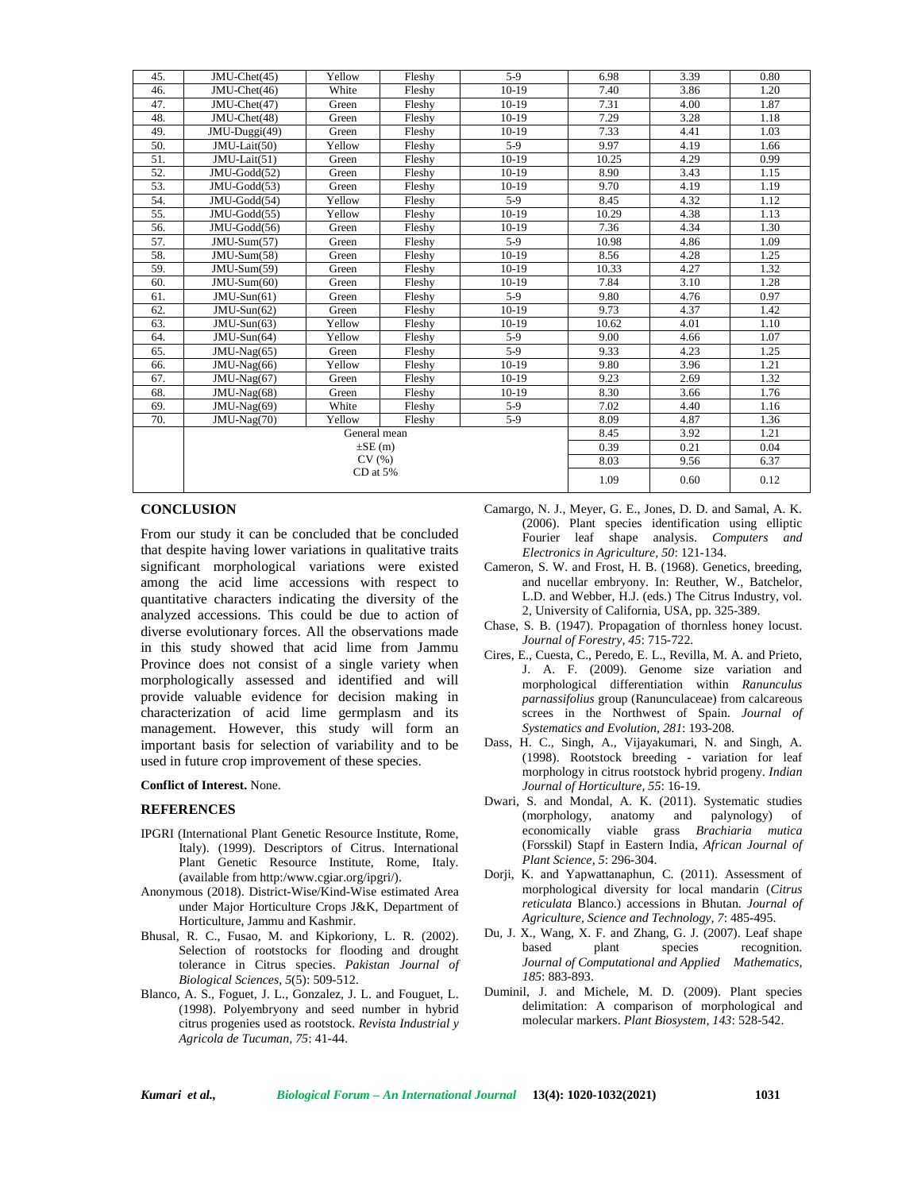| 45. | $JMU-Chet(45)$ | Yellow | Fleshy | $5-9$   | 6.98  | 3.39 | 0.80 |
|-----|----------------|--------|--------|---------|-------|------|------|
| 46. | JMU-Chet(46)   | White  | Fleshy | $10-19$ | 7.40  | 3.86 | 1.20 |
| 47. | JMU-Chet(47)   | Green  | Fleshy | $10-19$ | 7.31  | 4.00 | 1.87 |
| 48. | JMU-Chet(48)   | Green  | Fleshy | $10-19$ | 7.29  | 3.28 | 1.18 |
| 49. | JMU-Duggi(49)  | Green  | Fleshy | $10-19$ | 7.33  | 4.41 | 1.03 |
| 50. | JMU-Lait(50)   | Yellow | Fleshy | $5-9$   | 9.97  | 4.19 | 1.66 |
| 51. | JMU-Lait(51)   | Green  | Fleshy | $10-19$ | 10.25 | 4.29 | 0.99 |
| 52. | JMU-Godd(52)   | Green  | Fleshy | $10-19$ | 8.90  | 3.43 | 1.15 |
| 53. | JMU-Godd(53)   | Green  | Fleshy | $10-19$ | 9.70  | 4.19 | 1.19 |
| 54. | JMU-Godd(54)   | Yellow | Fleshy | $5-9$   | 8.45  | 4.32 | 1.12 |
| 55. | JMU-Godd(55)   | Yellow | Fleshy | $10-19$ | 10.29 | 4.38 | 1.13 |
| 56. | JMU-Godd(56)   | Green  | Fleshy | $10-19$ | 7.36  | 4.34 | 1.30 |
| 57. | $JMU-Sum(57)$  | Green  | Fleshy | $5-9$   | 10.98 | 4.86 | 1.09 |
| 58. | JMU-Sum(58)    | Green  | Fleshy | $10-19$ | 8.56  | 4.28 | 1.25 |
| 59. | JMU-Sum(59)    | Green  | Fleshy | $10-19$ | 10.33 | 4.27 | 1.32 |
| 60. | $JMU-Sum(60)$  | Green  | Fleshy | $10-19$ | 7.84  | 3.10 | 1.28 |
| 61. | $JMU-Sun(61)$  | Green  | Fleshy | $5-9$   | 9.80  | 4.76 | 0.97 |
| 62. | $JMU-Sun(62)$  | Green  | Fleshy | $10-19$ | 9.73  | 4.37 | 1.42 |
| 63. | $JMU-Sun(63)$  | Yellow | Fleshy | $10-19$ | 10.62 | 4.01 | 1.10 |
| 64. | $JMU-Sun(64)$  | Yellow | Fleshy | $5-9$   | 9.00  | 4.66 | 1.07 |
| 65. | JMU-Nag(65)    | Green  | Fleshy | $5-9$   | 9.33  | 4.23 | 1.25 |
| 66. | JMU-Nag(66)    | Yellow | Fleshy | $10-19$ | 9.80  | 3.96 | 1.21 |
| 67. | JMU-Nag(67)    | Green  | Fleshy | $10-19$ | 9.23  | 2.69 | 1.32 |
| 68. | JMU-Nag(68)    | Green  | Fleshy | $10-19$ | 8.30  | 3.66 | 1.76 |
| 69. | JMU-Nag(69)    | White  | Fleshy | $5-9$   | 7.02  | 4.40 | 1.16 |
| 70. | JMU-Nag(70)    | Yellow | Fleshy | $5-9$   | 8.09  | 4.87 | 1.36 |
|     |                | 8.45   | 3.92   | 1.21    |       |      |      |
|     |                | 0.39   | 0.21   | 0.04    |       |      |      |
|     |                | 8.03   | 9.56   | 6.37    |       |      |      |
|     |                | 1.09   | 0.60   | 0.12    |       |      |      |
|     |                |        |        |         |       |      |      |

### **CONCLUSION**

From our study it can be concluded that be concluded that despite having lower variations in qualitative traits significant morphological variations were existed among the acid lime accessions with respect to quantitative characters indicating the diversity of the analyzed accessions. This could be due to action of diverse evolutionary forces. All the observations made in this study showed that acid lime from Jammu Province does not consist of a single variety when morphologically assessed and identified and will provide valuable evidence for decision making in characterization of acid lime germplasm and its management. However, this study will form an important basis for selection of variability and to be used in future crop improvement of these species.

#### **Conflict of Interest.** None.

#### **REFERENCES**

- IPGRI (International Plant Genetic Resource Institute, Rome, Italy). (1999). Descriptors of Citrus. International Plant Genetic Resource Institute, Rome, Italy. (available from http:/<www.cgiar.org/ipgri/>).
- Anonymous (2018). District-Wise/Kind-Wise estimated Area under Major Horticulture Crops J&K, Department of Horticulture, Jammu and Kashmir.
- Bhusal, R. C., Fusao, M. and Kipkoriony, L. R. (2002). Selection of rootstocks for flooding and drought tolerance in Citrus species. *Pakistan Journal of Biological Sciences, 5*(5): 509-512.
- Blanco, A. S., Foguet, J. L., Gonzalez, J. L. and Fouguet, L. (1998). Polyembryony and seed number in hybrid citrus progenies used as rootstock. *Revista Industrial y Agricola de Tucuman, 75*: 41-44.
- Camargo, N. J., Meyer, G. E., Jones, D. D. and Samal, A. K. (2006). Plant species identification using elliptic Fourier leaf shape analysis. *Computers and Electronics in Agriculture, 50*: 121-134.
- Cameron, S. W. and Frost, H. B. (1968). Genetics, breeding, and nucellar embryony. In: Reuther, W., Batchelor, L.D. and Webber, H.J. (eds.) The Citrus Industry, vol. 2, University of California, USA, pp. 325-389.
- Chase, S. B. (1947). Propagation of thornless honey locust. *Journal of Forestry, 45*: 715-722.
- Cires, E., Cuesta, C., Peredo, E. L., Revilla, M. A. and Prieto, J. A. F. (2009). Genome size variation and morphological differentiation within *Ranunculus parnassifolius* group (Ranunculaceae) from calcareous screes in the Northwest of Spain. *Journal of Systematics and Evolution, 281*: 193-208.
- Dass, H. C., Singh, A., Vijayakumari, N. and Singh, A. (1998). Rootstock breeding - variation for leaf morphology in citrus rootstock hybrid progeny. *Indian Journal of Horticulture, 55*: 16-19.
- Dwari, S. and Mondal, A. K. (2011). Systematic studies (morphology, anatomy and palynology) of economically viable grass *Brachiaria mutica* (Forsskil) Stapf in Eastern India, *African Journal of Plant Science, 5*: 296-304.
- Dorji, K. and Yapwattanaphun, C. (2011). Assessment of morphological diversity for local mandarin (*Citrus reticulata* Blanco.) accessions in Bhutan. *Journal of Agriculture, Science and Technology, 7*: 485-495.
- Du, J. X., Wang, X. F. and Zhang, G. J. (2007). Leaf shape based plant species recognition. *Journal of Computational and Applied Mathematics, 185*: 883-893.
- Duminil, J. and Michele, M. D. (2009). Plant species delimitation: A comparison of morphological and molecular markers. *Plant Biosystem, 143*: 528-542.